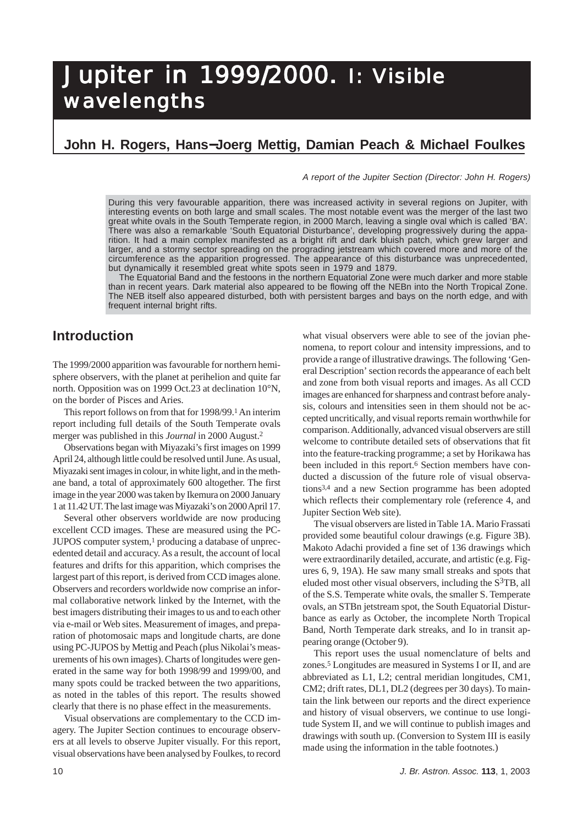# **John H. Rogers, Hans**−**Joerg Mettig, Damian Peach & Michael Foulkes**

*A report of the Jupiter Section (Director: John H. Rogers)*

During this very favourable apparition, there was increased activity in several regions on Jupiter, with interesting events on both large and small scales. The most notable event was the merger of the last two great white ovals in the South Temperate region, in 2000 March, leaving a single oval which is called 'BA'. There was also a remarkable 'South Equatorial Disturbance', developing progressively during the apparition. It had a main complex manifested as a bright rift and dark bluish patch, which grew larger and larger, and a stormy sector spreading on the prograding jetstream which covered more and more of the circumference as the apparition progressed. The appearance of this disturbance was unprecedented, but dynamically it resembled great white spots seen in 1979 and 1879.

The Equatorial Band and the festoons in the northern Equatorial Zone were much darker and more stable than in recent years. Dark material also appeared to be flowing off the NEBn into the North Tropical Zone. The NEB itself also appeared disturbed, both with persistent barges and bays on the north edge, and with frequent internal bright rifts.

# **Introduction**

The 1999/2000 apparition was favourable for northern hemisphere observers, with the planet at perihelion and quite far north. Opposition was on 1999 Oct.23 at declination 10°N, on the border of Pisces and Aries.

This report follows on from that for 1998/99.1 An interim report including full details of the South Temperate ovals merger was published in this *Journal* in 2000 August.2

Observations began with Miyazaki's first images on 1999 April 24, although little could be resolved until June. As usual, Miyazaki sent images in colour, in white light, and in the methane band, a total of approximately 600 altogether. The first image in the year 2000 was taken by Ikemura on 2000 January 1 at 11.42 UT. The last image was Miyazaki's on 2000 April 17.

Several other observers worldwide are now producing excellent CCD images. These are measured using the PC- $JUPOS$  computer system,<sup>1</sup> producing a database of unprecedented detail and accuracy. As a result, the account of local features and drifts for this apparition, which comprises the largest part of this report, is derived from CCD images alone. Observers and recorders worldwide now comprise an informal collaborative network linked by the Internet, with the best imagers distributing their images to us and to each other via e-mail or Web sites. Measurement of images, and preparation of photomosaic maps and longitude charts, are done using PC-JUPOS by Mettig and Peach (plus Nikolai's measurements of his own images). Charts of longitudes were generated in the same way for both 1998/99 and 1999/00, and many spots could be tracked between the two apparitions, as noted in the tables of this report. The results showed clearly that there is no phase effect in the measurements.

Visual observations are complementary to the CCD imagery. The Jupiter Section continues to encourage observers at all levels to observe Jupiter visually. For this report, visual observations have been analysed by Foulkes, to record what visual observers were able to see of the jovian phenomena, to report colour and intensity impressions, and to provide a range of illustrative drawings. The following 'General Description' section records the appearance of each belt and zone from both visual reports and images. As all CCD images are enhanced for sharpness and contrast before analysis, colours and intensities seen in them should not be accepted uncritically, and visual reports remain worthwhile for comparison. Additionally, advanced visual observers are still welcome to contribute detailed sets of observations that fit into the feature-tracking programme; a set by Horikawa has been included in this report.<sup>6</sup> Section members have conducted a discussion of the future role of visual observations3,4 and a new Section programme has been adopted which reflects their complementary role (reference 4, and Jupiter Section Web site).

The visual observers are listed in Table 1A. Mario Frassati provided some beautiful colour drawings (e.g. Figure 3B). Makoto Adachi provided a fine set of 136 drawings which were extraordinarily detailed, accurate, and artistic (e.g. Figures 6, 9, 19A). He saw many small streaks and spots that eluded most other visual observers, including the  $S^3TB$ , all of the S.S. Temperate white ovals, the smaller S. Temperate ovals, an STBn jetstream spot, the South Equatorial Disturbance as early as October, the incomplete North Tropical Band, North Temperate dark streaks, and Io in transit appearing orange (October 9).

This report uses the usual nomenclature of belts and zones.5 Longitudes are measured in Systems I or II, and are abbreviated as L1, L2; central meridian longitudes, CM1, CM2; drift rates, DL1, DL2 (degrees per 30 days). To maintain the link between our reports and the direct experience and history of visual observers, we continue to use longitude System II, and we will continue to publish images and drawings with south up. (Conversion to System III is easily made using the information in the table footnotes.)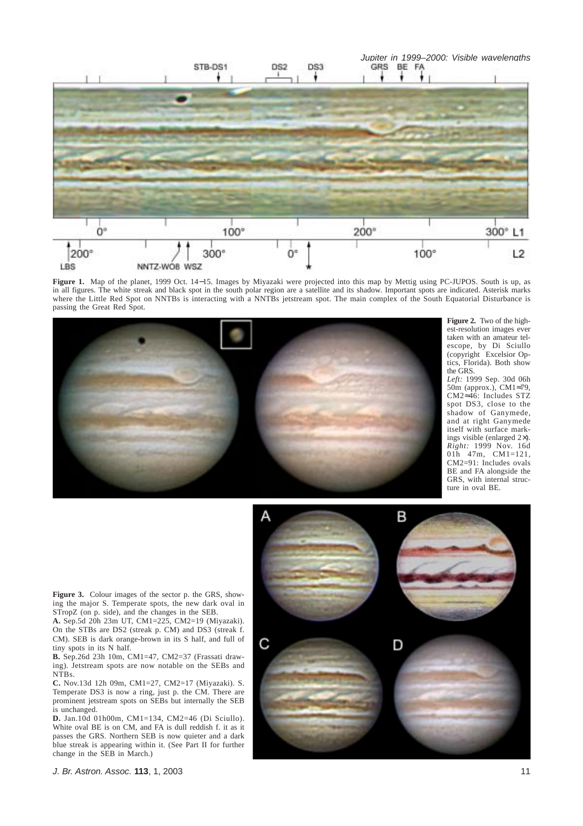

**Figure 1.** Map of the planet, 1999 Oct. 14−15. Images by Miyazaki were projected into this map by Mettig using PC-JUPOS. South is up, as in all figures. The white streak and black spot in the south polar region are a satellite and its shadow. Important spots are indicated. Asterisk marks where the Little Red Spot on NNTBs is interacting with a NNTBs jetstream spot. The main complex of the South Equatorial Disturbance is passing the Great Red Spot.



**Figure 2.** Two of the highest-resolution images ever taken with an amateur telescope, by Di Sciullo (copyright Excelsior Optics, Florida). Both show the GRS.

*Left:* 1999 Sep. 30d 06h 50m (approx.), CM1≈79, CM2≈46: Includes STZ spot DS3, close to the shadow of Ganymede, and at right Ganymede itself with surface markings visible (enlarged 2×). *Right:* 1999 Nov. 16d 01h 47m, CM1=121, CM2=91: Includes ovals BE and FA alongside the GRS, with internal structure in oval BE.

B С D

Figure 3. Colour images of the sector p. the GRS, showing the major S. Temperate spots, the new dark oval in STropZ (on p. side), and the changes in the SEB.

**A.** Sep.5d 20h 23m UT, CM1=225, CM2=19 (Miyazaki). On the STBs are DS2 (streak p. CM) and DS3 (streak f. CM). SEB is dark orange-brown in its S half, and full of tiny spots in its N half.

**B.** Sep.26d 23h 10m, CM1=47, CM2=37 (Frassati drawing). Jetstream spots are now notable on the SEBs and NTBs.

**C.** Nov.13d 12h 09m, CM1=27, CM2=17 (Miyazaki). S. Temperate DS3 is now a ring, just p. the CM. There are prominent jetstream spots on SEBs but internally the SEB is unchanged.

**D.** Jan.10d 01h00m, CM1=134, CM2=46 (Di Sciullo). White oval BE is on CM, and FA is dull reddish f. it as it passes the GRS. Northern SEB is now quieter and a dark blue streak is appearing within it. (See Part II for further change in the SEB in March.)

*J. Br. Astron. Assoc.* **113**, 1, 2003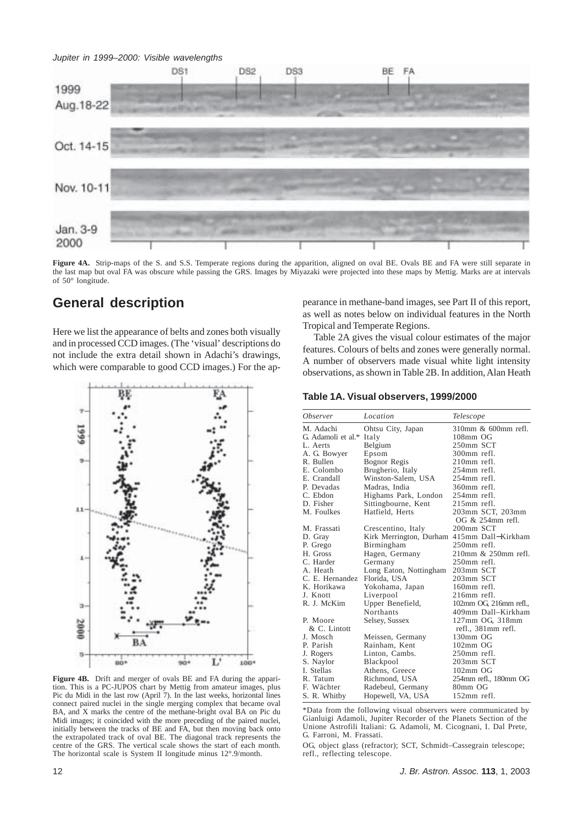

**Figure 4A.** Strip-maps of the S. and S.S. Temperate regions during the apparition, aligned on oval BE. Ovals BE and FA were still separate in the last map but oval FA was obscure while passing the GRS. Images by Miyazaki were projected into these maps by Mettig. Marks are at intervals of 50° longitude.

# **General description**

Here we list the appearance of belts and zones both visually and in processed CCD images. (The 'visual' descriptions do not include the extra detail shown in Adachi's drawings, which were comparable to good CCD images.) For the ap-



**Figure 4B.** Drift and merger of ovals BE and FA during the apparition. This is a PC-JUPOS chart by Mettig from amateur images, plus Pic du Midi in the last row (April 7). In the last weeks, horizontal lines connect paired nuclei in the single merging complex that became oval BA, and X marks the centre of the methane-bright oval BA on Pic du Midi images; it coincided with the more preceding of the paired nuclei, initially between the tracks of BE and FA, but then moving back onto the extrapolated track of oval BE. The diagonal track represents the centre of the GRS. The vertical scale shows the start of each month. The horizontal scale is System II longitude minus 12°.9/month.

pearance in methane-band images, see Part II of this report, as well as notes below on individual features in the North Tropical and Temperate Regions.

Table 2A gives the visual colour estimates of the major features. Colours of belts and zones were generally normal. A number of observers made visual white light intensity observations, as shown in Table 2B. In addition, Alan Heath

**Table 1A. Visual observers, 1999/2000**

| <b>Observer</b>    | Location                                   | Telescope             |
|--------------------|--------------------------------------------|-----------------------|
| M. Adachi          | Ohtsu City, Japan                          | 310mm & 600mm refl.   |
| G. Adamoli et al.* | Italy                                      | 108mm OG              |
| L. Aerts           | Belgium                                    | 250mm SCT             |
| A. G. Bowyer       | Epsom                                      | 300mm refl.           |
| R. Bullen          | Bognor Regis                               | 210mm refl.           |
| E. Colombo         | Brugherio, Italy                           | 254mm refl.           |
| E. Crandall        | Winston-Salem, USA                         | 254mm refl.           |
| P. Devadas         | Madras, India                              | 360mm refl.           |
| C. Ebdon           | Highams Park, London                       | 254mm refl.           |
| D. Fisher          | Sittingbourne, Kent                        | $215$ mm refl.        |
| M. Foulkes         | Hatfield, Herts                            | 203mm SCT, 203mm      |
|                    |                                            | OG & 254mm refl.      |
| M. Frassati        | Crescentino, Italy                         | 200mm SCT             |
| D. Gray            | Kirk Merrington, Durham 415mm Dall-Kirkham |                       |
| P. Grego           | Birmingham                                 | 250mm refl.           |
| H. Gross           | Hagen, Germany                             | 210mm & 250mm refl.   |
| C. Harder          | Germany                                    | 250mm refl.           |
| A. Heath           | Long Eaton, Nottingham                     | 203mm SCT             |
| C. E. Hernandez    | Florida, USA                               | 203mm SCT             |
| K. Horikawa        | Yokohama, Japan                            | 160mm refl.           |
| J. Knott           | Liverpool                                  | $216$ mm refl.        |
| R. J. McKim        | Upper Benefield,                           | 102mm OG 216mm refl., |
|                    | Northants                                  | 409mm Dall-Kirkham    |
| P. Moore           | Selsey, Sussex                             | 127mm OG, 318mm       |
| & C. Lintott       |                                            | refl., 381mm refl.    |
| J. Mosch           | Meissen, Germany                           | 130mm OG              |
| P. Parish          | Rainham, Kent                              | $102 \text{mm}$ OG    |
| J. Rogers          | Linton, Cambs.                             | 250mm refl.           |
| S. Naylor          | Blackpool                                  | 203mm SCT             |
| I. Stellas         | Athens, Greece                             | $102 \text{mm}$ OG    |
| R. Tatum           | Richmond, USA                              | 254mm refl., 180mm OG |
| F. Wächter         | Radebeul, Germany                          | 80mm OG               |
| S. R. Whitby       | Hopewell, VA, USA                          | $152$ mm refl.        |
|                    |                                            |                       |

\*Data from the following visual observers were communicated by Gianluigi Adamoli, Jupiter Recorder of the Planets Section of the Unione Astrofili Italiani: G. Adamoli, M. Cicognani, I. Dal Prete, G. Farroni, M. Frassati.

OG, object glass (refractor); SCT, Schmidt–Cassegrain telescope; refl., reflecting telescope.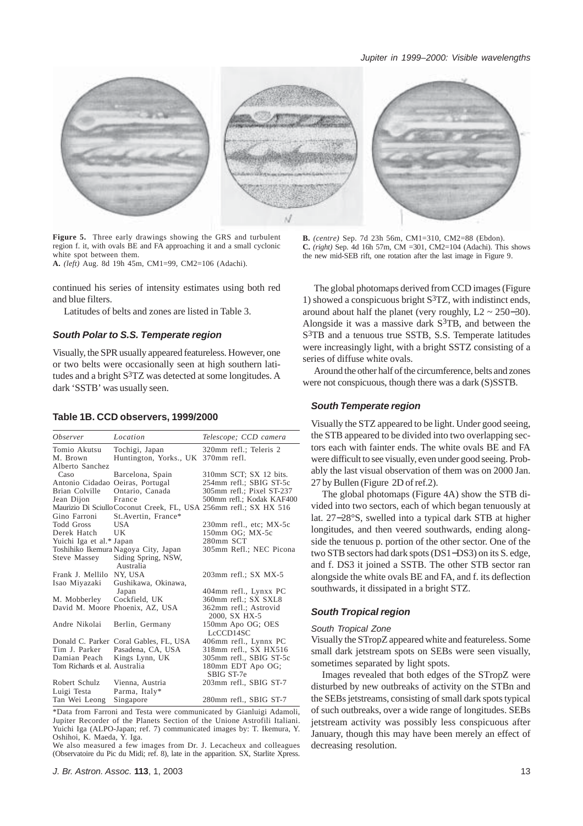

**Figure 5.** Three early drawings showing the GRS and turbulent region f. it, with ovals BE and FA approaching it and a small cyclonic white spot between them. **A.** *(left)* Aug. 8d 19h 45m, CM1=99, CM2=106 (Adachi).

continued his series of intensity estimates using both red and blue filters.

Latitudes of belts and zones are listed in Table 3.

#### *South Polar to S.S. Temperate region*

Visually, the SPR usually appeared featureless. However, one or two belts were occasionally seen at high southern latitudes and a bright S3TZ was detected at some longitudes. A dark 'SSTB' was usually seen.

#### **Table 1B. CCD observers, 1999/2000**

| <i><b>Observer</b></i>        | Location                               | Telescope; CCD camera                                             |
|-------------------------------|----------------------------------------|-------------------------------------------------------------------|
| Tomio Akutsu                  | Tochigi, Japan                         | 320mm refl.; Teleris 2                                            |
| M. Brown                      | Huntington, Yorks., UK                 | $370$ mm refl.                                                    |
| Alberto Sanchez               |                                        |                                                                   |
| Caso                          | Barcelona, Spain                       | 310mm SCT; SX 12 bits.                                            |
| Antonio Cidadao               | Oeiras, Portugal                       | 254mm refl.; SBIG ST-5c                                           |
| <b>Brian Colville</b>         | Ontario, Canada                        | 305mm refl.; Pixel ST-237                                         |
| Jean Dijon                    | France                                 | 500mm refl.; Kodak KAF400                                         |
|                               |                                        | Maurizio Di Sciullo Coconut Creek, FL, USA 256mm refl.; SX HX 516 |
| Gino Farroni                  | St. Avertin, France*                   |                                                                   |
| Todd Gross                    | USA                                    | 230mm refl., etc; MX-5c                                           |
| Derek Hatch                   | UK                                     | 150mm OG; MX-5c                                                   |
| Yuichi Iga et al.* Japan      |                                        | 280mm SCT                                                         |
|                               | Toshihiko Ikemura Nagoya City, Japan   | 305mm Refl.; NEC Picona                                           |
| Steve Massey                  | Siding Spring, NSW,                    |                                                                   |
|                               | Australia                              |                                                                   |
| Frank J. Mellilo              | NY, USA                                | 203mm refl.; SX MX-5                                              |
| Isao Miyazaki                 | Gushikawa, Okinawa,                    |                                                                   |
|                               | Japan                                  | 404mm refl., Lynxx PC                                             |
| M. Mobberley                  | Cockfield, UK                          | 360mm refl.; SX SXL8                                              |
|                               | David M. Moore Phoenix, AZ, USA        | 362mm refl.; Astrovid<br>2000, SX HX-5                            |
| Andre Nikolai                 | Berlin, Germany                        | 150mm Apo OG; OES<br>LcCCD14SC                                    |
|                               | Donald C. Parker Coral Gables, FL, USA | 406mm refl., Lynnx PC                                             |
| Tim J. Parker                 | Pasadena, CA, USA                      | 318mm refl., SX HX516                                             |
| Damian Peach                  | Kings Lynn, UK                         | 305mm refl., SBIG ST-5c                                           |
| Tom Richards et al. Australia |                                        | 180mm EDT Apo OG;<br>SBIG ST-7e                                   |
| Robert Schulz                 | Vienna, Austria                        | 203mm refl., SBIG ST-7                                            |
| Luigi Testa                   | Parma, Italy*                          |                                                                   |
| Tan Wei Leong                 | Singapore                              | 280mm refl., SBIG ST-7                                            |

\*Data from Farroni and Testa were communicated by Gianluigi Adamoli, Jupiter Recorder of the Planets Section of the Unione Astrofili Italiani. Yuichi Iga (ALPO-Japan; ref. 7) communicated images by: T. Ikemura, Y. Oshihoi, K. Maeda, Y. Iga.

We also measured a few images from Dr. J. Lecacheux and colleagues (Observatoire du Pic du Midi; ref. 8), late in the apparition. SX, Starlite Xpress.

**B.** *(centre)* Sep. 7d 23h 56m, CM1=310, CM2=88 (Ebdon). **C.** *(right)* Sep. 4d 16h 57m, CM =301, CM2=104 (Adachi). This shows the new mid-SEB rift, one rotation after the last image in Figure 9.

The global photomaps derived from CCD images (Figure 1) showed a conspicuous bright  $S^3TZ$ , with indistinct ends, around about half the planet (very roughly,  $L2 \sim 250-30$ ). Alongside it was a massive dark  $S^3TB$ , and between the S<sup>3</sup>TB and a tenuous true SSTB, S.S. Temperate latitudes were increasingly light, with a bright SSTZ consisting of a series of diffuse white ovals.

Around the other half of the circumference, belts and zones were not conspicuous, though there was a dark (S)SSTB.

# *South Temperate region*

Visually the STZ appeared to be light. Under good seeing, the STB appeared to be divided into two overlapping sectors each with fainter ends. The white ovals BE and FA were difficult to see visually, even under good seeing. Probably the last visual observation of them was on 2000 Jan. 27 by Bullen (Figure 2D of ref.2).

The global photomaps (Figure 4A) show the STB divided into two sectors, each of which began tenuously at lat. 27−28°S, swelled into a typical dark STB at higher longitudes, and then veered southwards, ending alongside the tenuous p. portion of the other sector. One of the two STB sectors had dark spots (DS1−DS3) on its S. edge, and f. DS3 it joined a SSTB. The other STB sector ran alongside the white ovals BE and FA, and f. its deflection southwards, it dissipated in a bright STZ.

# *South Tropical region*

#### *South Tropical Zone*

Visually the STropZ appeared white and featureless. Some small dark jetstream spots on SEBs were seen visually, sometimes separated by light spots.

Images revealed that both edges of the STropZ were disturbed by new outbreaks of activity on the STBn and the SEBs jetstreams, consisting of small dark spots typical of such outbreaks, over a wide range of longitudes. SEBs jetstream activity was possibly less conspicuous after January, though this may have been merely an effect of decreasing resolution.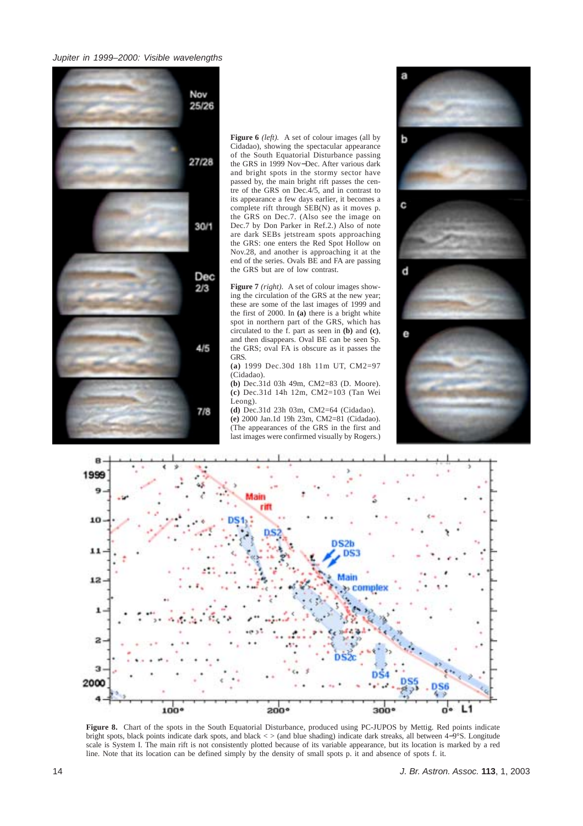

**Figure 6** *(left).* A set of colour images (all by Cidadao), showing the spectacular appearance of the South Equatorial Disturbance passing the GRS in 1999 Nov−Dec. After various dark and bright spots in the stormy sector have passed by, the main bright rift passes the centre of the GRS on Dec.4/5, and in contrast to its appearance a few days earlier, it becomes a complete rift through SEB(N) as it moves p. the GRS on Dec.7. (Also see the image on Dec.7 by Don Parker in Ref.2.) Also of note are dark SEBs jetstream spots approaching the GRS: one enters the Red Spot Hollow on Nov.28, and another is approaching it at the end of the series. Ovals BE and FA are passing the GRS but are of low contrast.

**Figure 7** *(right).*A set of colour images showing the circulation of the GRS at the new year; these are some of the last images of 1999 and the first of 2000. In **(a)** there is a bright white spot in northern part of the GRS, which has circulated to the f. part as seen in **(b)** and **(c)**, and then disappears. Oval BE can be seen Sp. the GRS; oval FA is obscure as it passes the GRS.

**(a)** 1999 Dec.30d 18h 11m UT, CM2=97 (Cidadao).

**(b)** Dec.31d 03h 49m, CM2=83 (D. Moore). **(c)** Dec.31d 14h 12m, CM2=103 (Tan Wei Leong).

**(d)** Dec.31d 23h 03m, CM2=64 (Cidadao). **(e)** 2000 Jan.1d 19h 23m, CM2=81 (Cidadao). (The appearances of the GRS in the first and last images were confirmed visually by Rogers.)





**Figure 8.** Chart of the spots in the South Equatorial Disturbance, produced using PC-JUPOS by Mettig. Red points indicate bright spots, black points indicate dark spots, and black < > (and blue shading) indicate dark streaks, all between 4−9°S. Longitude scale is System I. The main rift is not consistently plotted because of its variable appearance, but its location is marked by a red line. Note that its location can be defined simply by the density of small spots p. it and absence of spots f. it.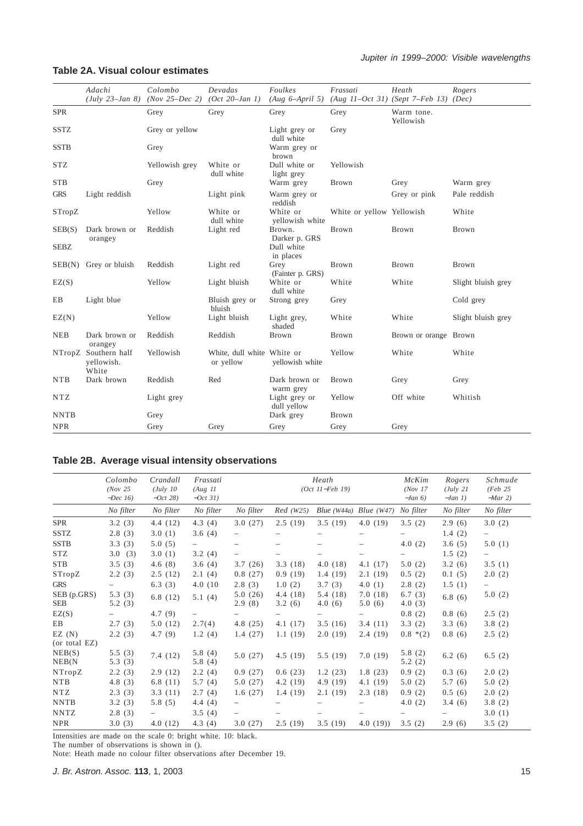# **Table 2A. Visual colour estimates**

|                      | Adachi                                      | Colombo<br>(July 23–Jan 8) (Nov 25–Dec 2) | Devadas<br>$(Oct 20$ -Jan 1)            | Foulkes<br>(Aug 6–April 5)   | Frassati<br>$(Aug 11-Oct 31)$ (Sept 7-Feb 13) (Dec) | Heath                   | Rogers             |
|----------------------|---------------------------------------------|-------------------------------------------|-----------------------------------------|------------------------------|-----------------------------------------------------|-------------------------|--------------------|
| <b>SPR</b>           |                                             | Grey                                      | Grey                                    | Grey                         | Grey                                                | Warm tone.<br>Yellowish |                    |
| <b>SSTZ</b>          |                                             | Grey or yellow                            |                                         | Light grey or<br>dull white  | Grey                                                |                         |                    |
| <b>SSTB</b>          |                                             | Grey                                      |                                         | Warm grey or<br>brown        |                                                     |                         |                    |
| <b>STZ</b>           |                                             | Yellowish grey                            | White or<br>dull white                  | Dull white or<br>light grey  | Yellowish                                           |                         |                    |
| <b>STB</b>           |                                             | Grey                                      |                                         | Warm grey                    | <b>Brown</b>                                        | Grey                    | Warm grey          |
| <b>GRS</b>           | Light reddish                               |                                           | Light pink                              | Warm grey or<br>reddish      |                                                     | Grey or pink            | Pale reddish       |
| STropZ               |                                             | Yellow                                    | White or<br>dull white                  | White or<br>yellowish white  | White or yellow Yellowish                           |                         | White              |
| SEB(S)               | Dark brown or<br>orangey                    | Reddish                                   | Light red                               | Brown.<br>Darker p. GRS      | Brown                                               | Brown                   | Brown              |
| <b>SEBZ</b>          |                                             |                                           |                                         | Dull white<br>in places      |                                                     |                         |                    |
| SEB(N)               | Grey or bluish                              | Reddish                                   | Light red                               | Grey<br>(Fainter p. GRS)     | Brown                                               | Brown                   | Brown              |
| EZ(S)                |                                             | Yellow                                    | Light bluish                            | White or<br>dull white       | White                                               | White                   | Slight bluish grey |
| EB                   | Light blue                                  |                                           | Bluish grey or<br>bluish                | Strong grey                  | Grey                                                |                         | Cold grey          |
| EZ(N)                |                                             | Yellow                                    | Light bluish                            | Light grey,<br>shaded        | White                                               | White                   | Slight bluish grey |
| <b>NEB</b>           | Dark brown or<br>orangey                    | Reddish                                   | Reddish                                 | Brown                        | <b>Brown</b>                                        | Brown or orange Brown   |                    |
|                      | NTropZ Southern half<br>vellowish.<br>White | Yellowish                                 | White, dull white White or<br>or yellow | yellowish white              | Yellow                                              | White                   | White              |
| <b>NTB</b>           | Dark brown                                  | Reddish                                   | Red                                     | Dark brown or<br>warm grey   | <b>Brown</b>                                        | Grey                    | Grey               |
| $\operatorname{NTZ}$ |                                             | Light grey                                |                                         | Light grey or<br>dull yellow | Yellow                                              | Off white               | Whitish            |
| <b>NNTB</b>          |                                             | Grey                                      |                                         | Dark grey                    | Brown                                               |                         |                    |
| <b>NPR</b>           |                                             | Grey                                      | Grey                                    | Grey                         | Grey                                                | Grey                    |                    |

# **Table 2B. Average visual intensity observations**

|                           | Colombo<br>(Nov 25)<br>$-Dec~16$ | Crandall<br>(July 10<br>$-Oct 28$ | Frassati<br>(Aug 11)<br>$-Oct 31$ |                   |                          | Heath<br>$(Oct II-Feb 19)$ |                   | McKim<br>(Nov 17)<br>$-Jan(6)$ | Rogers<br>(July 21<br>$-Jan 1$ | Schmude<br>(Feb 25)<br>$-Mar 2)$ |
|---------------------------|----------------------------------|-----------------------------------|-----------------------------------|-------------------|--------------------------|----------------------------|-------------------|--------------------------------|--------------------------------|----------------------------------|
|                           | No filter                        | No filter                         | No filter                         | No filter         | Red(W25)                 | Blue $(W44a)$ Blue $(W47)$ |                   | No filter                      | No filter                      | No filter                        |
| <b>SPR</b>                | 3.2(3)                           | 4.4(12)                           | 4.3(4)                            | 3.0(27)           | 2.5(19)                  | 3.5(19)                    | 4.0(19)           | 3.5(2)                         | 2.9(6)                         | 3.0(2)                           |
| <b>SSTZ</b>               | 2.8(3)                           | 3.0(1)                            | 3.6(4)                            |                   |                          |                            |                   |                                | 1.4(2)                         |                                  |
| <b>SSTB</b>               | 3.3(3)                           | 5.0(5)                            | $-$                               | $\qquad \qquad -$ | $\overline{\phantom{0}}$ |                            |                   | 4.0(2)                         | 3.6(5)                         | 5.0(1)                           |
| <b>STZ</b>                | 3.0(3)                           | 3.0(1)                            | 3.2(4)                            |                   |                          |                            |                   |                                | 1.5(2)                         |                                  |
| <b>STB</b>                | 3.5(3)                           | 4.6(8)                            | 3.6(4)                            | 3.7(26)           | 3.3(18)                  | 4.0(18)                    | 4.1(17)           | 5.0(2)                         | 3.2(6)                         | 3.5(1)                           |
| STropZ                    | 2.2(3)                           | 2.5(12)                           | 2.1(4)                            | 0.8(27)           | 0.9(19)                  | 1.4(19)                    | 2.1(19)           | 0.5(2)                         | 0.1(5)                         | 2.0(2)                           |
| <b>GRS</b>                |                                  | 6.3(3)                            | 4.0(10)                           | 2.8(3)            | 1.0(2)                   | 3.7(3)                     | 4.0(1)            | 2.8(2)                         | 1.5(1)                         | $\overline{\phantom{0}}$         |
| SEB (p.GRS)<br><b>SEB</b> | 5.3(3)<br>5.2(3)                 | 6.8(12)                           | 5.1(4)                            | 5.0(26)<br>2.9(8) | 4.4(18)<br>3.2(6)        | 5.4(18)<br>4.0(6)          | 7.0(18)<br>5.0(6) | 6.7(3)<br>4.0(3)               | 6.8(6)                         | 5.0(2)                           |
| EZ(S)                     | $\equiv$                         | 4.7(9)                            | $\overline{\phantom{m}}$          |                   |                          |                            |                   | 0.8(2)                         | 0.8(6)                         | 2.5(2)                           |
| EB                        | 2.7(3)                           | 5.0(12)                           | 2.7(4)                            | 4.8(25)           | 4.1(17)                  | 3.5(16)                    | 3.4(11)           | 3.3(2)                         | 3.3(6)                         | 3.8(2)                           |
| EZ(N)<br>(or total EZ)    | 2.2(3)                           | 4.7(9)                            | 1.2(4)                            | 1.4(27)           | 1.1(19)                  | 2.0(19)                    | 2.4(19)           | $0.8*(2)$                      | 0.8(6)                         | 2.5(2)                           |
| NEB(S)<br>NEB(N)          | 5.5(3)<br>5.3(3)                 | 7.4(12)                           | 5.8(4)<br>5.8(4)                  | 5.0(27)           | 4.5(19)                  | 5.5(19)                    | 7.0(19)           | 5.8(2)<br>5.2(2)               | 6.2(6)                         | 6.5(2)                           |
| NTropZ                    | 2.2(3)                           | 2.9(12)                           | 2.2(4)                            | 0.9(27)           | 0.6(23)                  | 1.2(23)                    | 1.8(23)           | 0.9(2)                         | 0.3(6)                         | 2.0(2)                           |
| <b>NTB</b>                | 4.8(3)                           | 6.8 $(11)$                        | 5.7(4)                            | 5.0(27)           | 4.2(19)                  | 4.9(19)                    | 4.1(19)           | 5.0(2)                         | 5.7(6)                         | 5.0(2)                           |
| <b>NTZ</b>                | 2.3(3)                           | 3.3(11)                           | 2.7(4)                            | 1.6(27)           | 1.4(19)                  | 2.1(19)                    | 2.3(18)           | 0.9(2)                         | 0.5(6)                         | 2.0(2)                           |
| <b>NNTB</b>               | 3.2(3)                           | 5.8(5)                            | 4.4(4)                            |                   |                          |                            |                   | 4.0(2)                         | 3.4(6)                         | 3.8(2)                           |
| <b>NNTZ</b>               | 2.8(3)                           |                                   | 3.5(4)                            |                   |                          |                            |                   |                                |                                | 3.0(1)                           |
| <b>NPR</b>                | 3.0(3)                           | 4.0(12)                           | 4.3 $(4)$                         | 3.0(27)           | 2.5(19)                  | 3.5(19)                    | 4.0(19)           | 3.5(2)                         | 2.9(6)                         | 3.5(2)                           |

Intensities are made on the scale 0: bright white. 10: black.

The number of observations is shown in ().

Note: Heath made no colour filter observations after December 19.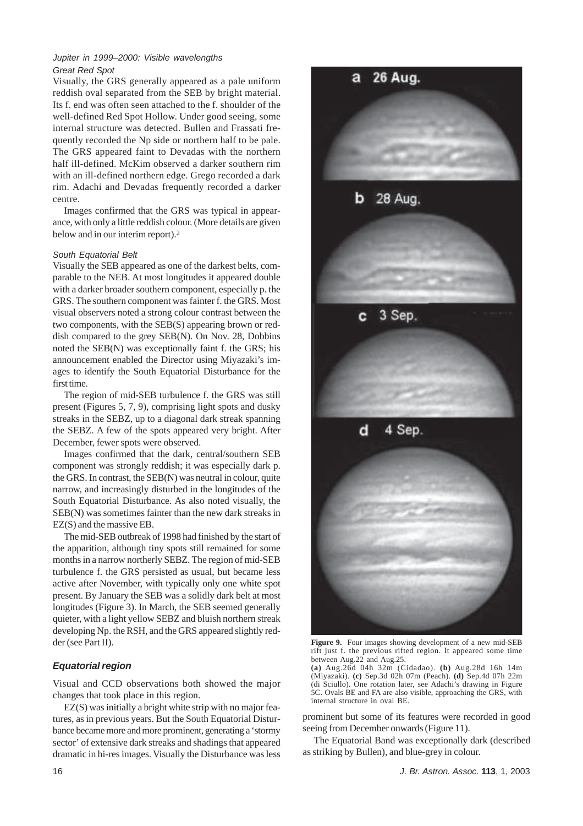# *Jupiter in 1999–2000: Visible wavelengths Great Red Spot*

Visually, the GRS generally appeared as a pale uniform reddish oval separated from the SEB by bright material. Its f. end was often seen attached to the f. shoulder of the well-defined Red Spot Hollow. Under good seeing, some internal structure was detected. Bullen and Frassati frequently recorded the Np side or northern half to be pale. The GRS appeared faint to Devadas with the northern half ill-defined. McKim observed a darker southern rim with an ill-defined northern edge. Grego recorded a dark rim. Adachi and Devadas frequently recorded a darker centre.

Images confirmed that the GRS was typical in appearance, with only a little reddish colour. (More details are given below and in our interim report).2

# *South Equatorial Belt*

Visually the SEB appeared as one of the darkest belts, comparable to the NEB. At most longitudes it appeared double with a darker broader southern component, especially p. the GRS. The southern component was fainter f. the GRS. Most visual observers noted a strong colour contrast between the two components, with the SEB(S) appearing brown or reddish compared to the grey SEB(N). On Nov. 28, Dobbins noted the SEB(N) was exceptionally faint f. the GRS; his announcement enabled the Director using Miyazaki's images to identify the South Equatorial Disturbance for the first time.

The region of mid-SEB turbulence f. the GRS was still present (Figures 5, 7, 9), comprising light spots and dusky streaks in the SEBZ, up to a diagonal dark streak spanning the SEBZ. A few of the spots appeared very bright. After December, fewer spots were observed.

Images confirmed that the dark, central/southern SEB component was strongly reddish; it was especially dark p. the GRS. In contrast, the SEB(N) was neutral in colour, quite narrow, and increasingly disturbed in the longitudes of the South Equatorial Disturbance. As also noted visually, the SEB(N) was sometimes fainter than the new dark streaks in EZ(S) and the massive EB.

The mid-SEB outbreak of 1998 had finished by the start of the apparition, although tiny spots still remained for some months in a narrow northerly SEBZ. The region of mid-SEB turbulence f. the GRS persisted as usual, but became less active after November, with typically only one white spot present. By January the SEB was a solidly dark belt at most longitudes (Figure 3). In March, the SEB seemed generally quieter, with a light yellow SEBZ and bluish northern streak developing Np. the RSH, and the GRS appeared slightly redder (see Part II).

# *Equatorial region*

Visual and CCD observations both showed the major changes that took place in this region.

EZ(S) was initially a bright white strip with no major features, as in previous years. But the South Equatorial Disturbance became more and more prominent, generating a 'stormy sector' of extensive dark streaks and shadings that appeared dramatic in hi-res images. Visually the Disturbance was less



**Figure 9.** Four images showing development of a new mid-SEB rift just f. the previous rifted region. It appeared some time between Aug.22 and Aug.25.

**(a)** Aug.26d 04h 32m (Cidadao). **(b)** Aug.28d 16h 14m (Miyazaki). **(c)** Sep.3d 02h 07m (Peach). **(d)** Sep.4d 07h 22m (di Sciullo). One rotation later, see Adachi's drawing in Figure 5C. Ovals BE and FA are also visible, approaching the GRS, with internal structure in oval BE.

prominent but some of its features were recorded in good seeing from December onwards (Figure 11).

The Equatorial Band was exceptionally dark (described as striking by Bullen), and blue-grey in colour.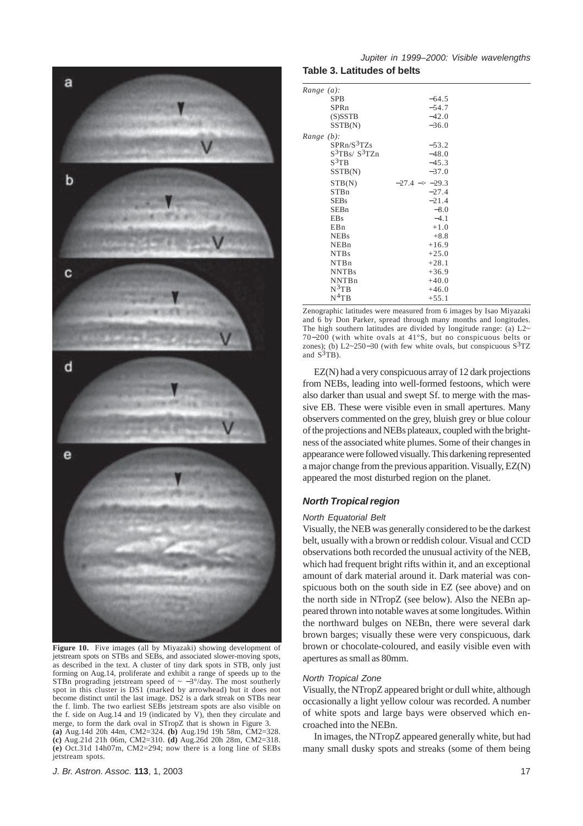

**Figure 10.** Five images (all by Miyazaki) showing development of jetstream spots on STBs and SEBs, and associated slower-moving spots, as described in the text. A cluster of tiny dark spots in STB, only just forming on Aug.14, proliferate and exhibit a range of speeds up to the STBn prograding jetstream speed of  $\sim -3^{\circ}/\text{day}$ . The most southerly spot in this cluster is DS1 (marked by arrowhead) but it does not become distinct until the last image. DS2 is a dark streak on STBs near the f. limb. The two earliest SEBs jetstream spots are also visible on the f. side on Aug.14 and 19 (indicated by V), then they circulate and merge, to form the dark oval in STropZ that is shown in Figure 3. **(a)** Aug.14d 20h 44m, CM2=324. **(b)** Aug.19d 19h 58m, CM2=328. **(c)** Aug.21d 21h 06m, CM2=310. **(d)** Aug.26d 20h 28m, CM2=318. **(e)** Oct.31d 14h07m, CM2=294; now there is a long line of SEBs jetstream spots.

# *Jupiter in 1999–2000: Visible wavelengths* **Table 3. Latitudes of belts**

| Range (a):              |                               |  |
|-------------------------|-------------------------------|--|
| <b>SPB</b>              | $-64.5$                       |  |
| SPRn                    | $-54.7$                       |  |
| $(S)$ SSTB              | $-42.0$                       |  |
| SSTB(N)                 | $-36.0$                       |  |
| Range (b):              |                               |  |
| SPRn/S <sup>3</sup> TZs | $-53.2$                       |  |
| $S^3TBs/S^3TZn$         | $-48.0$                       |  |
| $S^3$ TB                | $-45.3$                       |  |
| SSTB(N)                 | $-37.0$                       |  |
| STB(N)                  | $-27.4$ $\rightarrow$ $-29.3$ |  |
| <b>STBn</b>             | $-27.4$                       |  |
| <b>SEBs</b>             | $-21.4$                       |  |
| SEBn                    | $-8.0$                        |  |
| <b>EBs</b>              | $-4.1$                        |  |
| E <sub>Bn</sub>         | $+1.0$                        |  |
| <b>NEBs</b>             | $+8.8$                        |  |
| NEBn                    | $+16.9$                       |  |
| NTB <sub>s</sub>        | $+25.0$                       |  |
| NTBn                    | $+28.1$                       |  |
| <b>NNTBs</b>            | $+36.9$                       |  |
| <b>NNTBn</b>            | $+40.0$                       |  |
| $N^3$ TB                | $+46.0$                       |  |
| $N^4$ TB                | $+55.1$                       |  |

Zenographic latitudes were measured from 6 images by Isao Miyazaki and  $\vec{6}$  by Don Parker, spread through many months and longitudes. The high southern latitudes are divided by longitude range: (a)  $L2~$ 70−200 (with white ovals at 41°S, but no conspicuous belts or zones); (b) L2~250–30 (with few white ovals, but conspicuous  $S^{3}TZ$ and  $S^3TB$ ).

EZ(N) had a very conspicuous array of 12 dark projections from NEBs, leading into well-formed festoons, which were also darker than usual and swept Sf. to merge with the massive EB. These were visible even in small apertures. Many observers commented on the grey, bluish grey or blue colour of the projections and NEBs plateaux, coupled with the brightness of the associated white plumes. Some of their changes in appearance were followed visually. This darkening represented a major change from the previous apparition. Visually, EZ(N) appeared the most disturbed region on the planet.

# *North Tropical region*

#### *North Equatorial Belt*

Visually, the NEB was generally considered to be the darkest belt, usually with a brown or reddish colour. Visual and CCD observations both recorded the unusual activity of the NEB, which had frequent bright rifts within it, and an exceptional amount of dark material around it. Dark material was conspicuous both on the south side in EZ (see above) and on the north side in NTropZ (see below). Also the NEBn appeared thrown into notable waves at some longitudes. Within the northward bulges on NEBn, there were several dark brown barges; visually these were very conspicuous, dark brown or chocolate-coloured, and easily visible even with apertures as small as 80mm.

#### *North Tropical Zone*

Visually, the NTropZ appeared bright or dull white, although occasionally a light yellow colour was recorded. A number of white spots and large bays were observed which encroached into the NEBn.

In images, the NTropZ appeared generally white, but had many small dusky spots and streaks (some of them being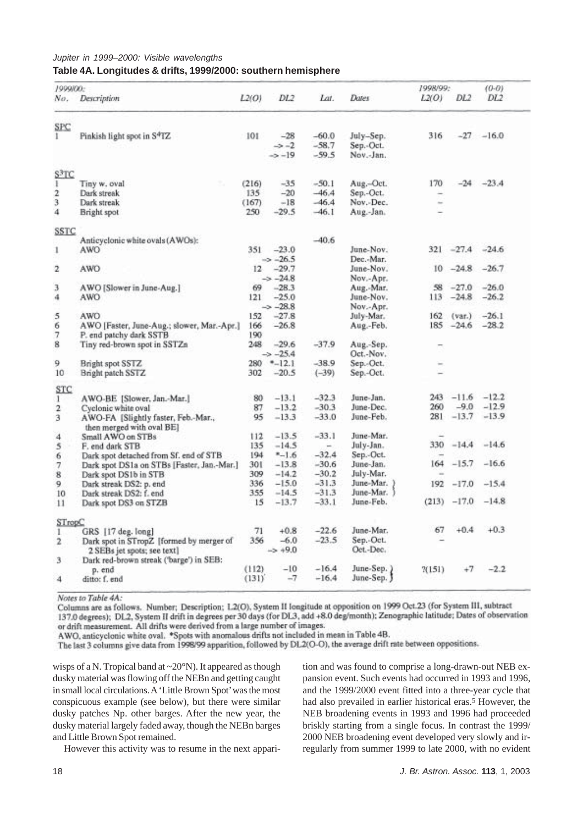# *Jupiter in 1999–2000: Visible wavelengths* **Table 4A. Longitudes & drifts, 1999/2000: southern hemisphere**

| 1999/00:          |                                                                         |            |                                |         |                        | 1998/99: |                 | $(0-0)$      |
|-------------------|-------------------------------------------------------------------------|------------|--------------------------------|---------|------------------------|----------|-----------------|--------------|
| No.               | Description                                                             | L2(O)      | DL2                            | Lat.    | Dates                  | L2(O)    | DL <sub>2</sub> | DL2          |
| SPC               |                                                                         |            |                                |         |                        |          |                 |              |
|                   | Pinkish light spot in S <sup>4</sup> TZ                                 | 101        | $-28$                          | $-60.0$ | July-Sep.              | 316      |                 | $-27 - 16.0$ |
|                   |                                                                         |            | $\rightarrow -2$               | $-58.7$ | Sep.-Oct.              |          |                 |              |
|                   |                                                                         |            | $\Rightarrow -19$              | $-59.5$ | Nov.-Jan.              |          |                 |              |
| S <sup>3</sup> TC |                                                                         |            |                                |         |                        |          |                 |              |
| I                 | Tiny w. oval                                                            | (216)      | $-35$                          | $-50.1$ | Aug.-Oct.              | 170      | $-24$           | $-23.4$      |
| 2                 | Dark streak                                                             | 135        | $-20$                          | $-46.4$ | Sep.-Oct.              | -        |                 |              |
| 3                 | Dark streak                                                             | (167)      | $-18$                          | $-46.4$ | Nov.-Dec.              | $\sim$   |                 |              |
| 4                 | Bright spot                                                             | 250        | $-29.5$                        | $-46.1$ | Aug.-Jan.              |          |                 |              |
| <b>SSTC</b>       |                                                                         |            |                                |         |                        |          |                 |              |
|                   | Anticyclonic white ovals (AWOs):                                        |            |                                | $-40.6$ |                        |          |                 |              |
| 1                 | AWO                                                                     | 351        | $-23.0$                        |         | June-Nov.              | 321      | $-27.4$         | $-24.6$      |
|                   |                                                                         |            | $\Rightarrow -26.5$            |         | Dec.-Mar.              |          |                 |              |
| 2                 | AWO                                                                     | 12         | $-29.7$                        |         | June-Nov.              | 10       | $-24.8$         | $-26.7$      |
|                   |                                                                         |            | $\rightarrow -24.8$            |         | Nov.-Apr.              |          |                 |              |
| 3                 | AWO [Slower in June-Aug.]                                               | 69         | $-28.3$                        |         | Aug.-Mar.              | 58       | $-27.0$         | $-26.0$      |
| 4                 | AWO                                                                     | 121        | $-25.0$                        |         | June-Nov.              | 113      | $-24.8$         | $-26.2$      |
|                   |                                                                         |            | $-28.8$                        |         | Nov.-Apr.              |          |                 |              |
| 5                 | AWO                                                                     | 152        | $-27.8$                        |         | July-Mar.              | 162      | (var.)          | $-26.1$      |
| 6                 |                                                                         | 166        | $-26.8$                        |         |                        |          | $185 - 24.6$    | $-28.2$      |
| 7                 | AWO [Faster, June-Aug.; slower, Mar.-Apr.]                              |            |                                |         | Aug.-Feb.              |          |                 |              |
|                   | P. end patchy dark SSTB                                                 | 190<br>248 |                                | $-37.9$ |                        |          |                 |              |
| 8                 | Tiny red-brown spot in SSTZn                                            |            | $-29.6$<br>$\rightarrow -25.4$ |         | Aug.-Sep.<br>Oct.-Nov. |          |                 |              |
| 9                 | Bright spot SSTZ                                                        | 280        | $-12.1$                        | $-38.9$ | Sep.-Oct.              |          |                 |              |
| 10                | Bright patch SSTZ                                                       | 302        | $-20.5$                        | $(-39)$ | Sep.-Oct.              |          |                 |              |
| STC               |                                                                         |            |                                |         |                        |          |                 |              |
| 1                 | AWO-BE [Slower, Jan.-Mar.]                                              | 80         | $-13.1$                        | $-32.3$ | June-Jan.              | 243      | $-11.6$         | $-12.2$      |
| $\mathbf 2$       | Cyclonic white oval                                                     | 87         | $-13.2$                        | $-30.3$ | June-Dec.              | 260      | $-9.0$          | $-12.9$      |
| 3                 | AWO-FA [Slightly faster, Feb.-Mar.,                                     | 95         | $-13.3$                        | $-33.0$ | June-Feb.              | 281      | $-13.7$         | $-13.9$      |
|                   | then merged with oval BEI                                               |            |                                |         |                        |          |                 |              |
| 4                 | Small AWO on STBs                                                       | 112        | $-13.5$                        | $-33.1$ | June-Mar.              |          |                 |              |
| 5                 | F. end dark STB                                                         | 135        | $-14.5$                        | $\sim$  | July-Jan.              | 330      | $-14.4$         | $-14.6$      |
| 6                 | Dark spot detached from Sf. end of STB                                  | 194        | $-1.6$                         | $-32.4$ | Sep.-Oct.              |          |                 |              |
| 7                 | Dark spot DS1a on STBs [Faster, Jan.-Mar.]                              | 301        | $-13.8$                        | $-30.6$ | June-Jan.              | 164      | $-15.7$         | $-16.6$      |
| 8                 | Dark spot DS1b in STB                                                   | 309        | $-14.2$                        | $-30.2$ | July-Mar.              |          |                 |              |
| 9                 | Dark streak DS2: p. end                                                 | 336        | $-15.0$                        | $-31.3$ | June-Mar. )            | 192      | $-17.0$         | $-15.4$      |
| 10                | Dark streak DS2: f. end                                                 | 355        | $-14.5$                        | $-31.3$ | June-Mar.              |          |                 |              |
| 11                | Dark spot DS3 on STZB                                                   | 15         | $-13.7$                        | $-33.1$ | June-Feb.              | (213)    | $-17.0$         | $-14.8$      |
|                   |                                                                         |            |                                |         |                        |          |                 |              |
| STropC            |                                                                         |            |                                |         |                        | 67       | $+0.4$          | $+0.3$       |
| Ŀ                 | GRS [17 deg. long]                                                      | 71         | $+0.8$                         | $-22.6$ | June-Mar.              |          |                 |              |
| 2                 | Dark spot in STropZ [formed by merger of<br>2 SEBs jet spots; see text] | 356        | $-6.0$<br>$-5 + 9.0$           | $-23.5$ | Sep.-Oct.<br>Oct.-Dec. |          |                 |              |
| 3                 | Dark red-brown streak ('barge') in SEB:                                 |            |                                |         |                        |          |                 |              |
|                   | p. end                                                                  | (112)      | $-10$                          | $-16.4$ | June-Sep.)             | X(151)   | $^{+7}$         | $-2.2$       |
| 4                 | ditto: f. end                                                           | (131)      | $-7$                           | $-16.4$ | June-Sep. J            |          |                 |              |

Notes to Table 4A:

Columns are as follows. Number; Description; L2(O), System II longitude at opposition on 1999 Oct.23 (for System III, subtract 137.0 degrees); DL2, System II drift in degrees per 30 days (for DL3, add +8.0 deg/month); Zenographic latitude; Dates of observation

or drift measurement. All drifts were derived from a large number of images.

AWO, anticyclonic white oval. \*Spots with anomalous drifts not included in mean in Table 4B.

The last 3 columns give data from 1998/99 apparition, followed by DL2(O-O), the average drift rate between oppositions.

wisps of a N. Tropical band at ~20°N). It appeared as though dusky material was flowing off the NEBn and getting caught in small local circulations. A 'Little Brown Spot' was the most conspicuous example (see below), but there were similar dusky patches Np. other barges. After the new year, the dusky material largely faded away, though the NEBn barges and Little Brown Spot remained.

However this activity was to resume in the next appari-

tion and was found to comprise a long-drawn-out NEB expansion event. Such events had occurred in 1993 and 1996, and the 1999/2000 event fitted into a three-year cycle that had also prevailed in earlier historical eras.<sup>5</sup> However, the NEB broadening events in 1993 and 1996 had proceeded briskly starting from a single focus. In contrast the 1999/ 2000 NEB broadening event developed very slowly and irregularly from summer 1999 to late 2000, with no evident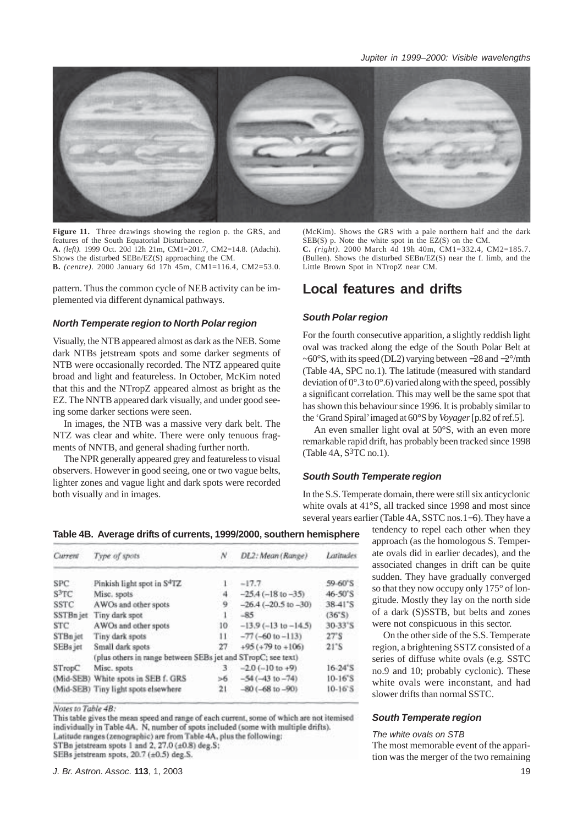

**Figure 11.** Three drawings showing the region p. the GRS, and features of the South Equatorial Disturbance. **A.** *(left).* 1999 Oct. 20d 12h 21m, CM1=201.7, CM2=14.8. (Adachi). Shows the disturbed SEBn/EZ(S) approaching the CM. **B.** *(centre)*. 2000 January 6d 17h 45m, CM1=116.4, CM2=53.0.

pattern. Thus the common cycle of NEB activity can be implemented via different dynamical pathways.

# *North Temperate region to North Polar region*

Visually, the NTB appeared almost as dark as the NEB. Some dark NTBs jetstream spots and some darker segments of NTB were occasionally recorded. The NTZ appeared quite broad and light and featureless. In October, McKim noted that this and the NTropZ appeared almost as bright as the EZ. The NNTB appeared dark visually, and under good seeing some darker sections were seen.

In images, the NTB was a massive very dark belt. The NTZ was clear and white. There were only tenuous fragments of NNTB, and general shading further north.

The NPR generally appeared grey and featureless to visual observers. However in good seeing, one or two vague belts, lighter zones and vague light and dark spots were recorded both visually and in images.

(McKim). Shows the GRS with a pale northern half and the dark SEB(S) p. Note the white spot in the EZ(S) on the CM. **C.** *(right).* 2000 March 4d 19h 40m, CM1=332.4, CM2=185.7. (Bullen). Shows the disturbed SEBn/EZ(S) near the f. limb, and the Little Brown Spot in NTropZ near CM.

# **Local features and drifts**

# *South Polar region*

For the fourth consecutive apparition, a slightly reddish light oval was tracked along the edge of the South Polar Belt at ~60°S, with its speed (DL2) varying between −28 and −2°/mth (Table 4A, SPC no.1). The latitude (measured with standard deviation of  $0^{\circ}$ .3 to  $0^{\circ}$ .6) varied along with the speed, possibly a significant correlation. This may well be the same spot that has shown this behaviour since 1996. It is probably similar to the 'Grand Spiral' imaged at 60°S by *Voyager* [p.82 of ref.5].

An even smaller light oval at 50°S, with an even more remarkable rapid drift, has probably been tracked since 1998 (Table  $4A$ ,  $S<sup>3</sup>TC$  no.1).

# *South South Temperate region*

In the S.S. Temperate domain, there were still six anticyclonic white ovals at 41°S, all tracked since 1998 and most since several years earlier (Table 4A, SSTC nos.1−6). They have a

> tendency to repel each other when they approach (as the homologous S. Temperate ovals did in earlier decades), and the associated changes in drift can be quite sudden. They have gradually converged so that they now occupy only 175° of longitude. Mostly they lay on the north side of a dark (S)SSTB, but belts and zones were not conspicuous in this sector.

> On the other side of the S.S. Temperate region, a brightening SSTZ consisted of a series of diffuse white ovals (e.g. SSTC no.9 and 10; probably cyclonic). These white ovals were inconstant, and had slower drifts than normal SSTC.

#### *South Temperate region*

#### *The white ovals on STB*

The most memorable event of the apparition was the merger of the two remaining

**Table 4B. Average drifts of currents, 1999/2000, southern hemisphere**

| Current           | Type of spots                                                | N  | DL2: Mean (Range)        | Latitudes                |
|-------------------|--------------------------------------------------------------|----|--------------------------|--------------------------|
| <b>SPC</b>        | Pinkish light spot in S <sup>4</sup> TZ                      |    | $-17.7$                  | 59-60'S                  |
| S <sup>3</sup> TC | Misc. spots                                                  | a  | $-25.4(-18 to -35)$      | 46-50'S                  |
| <b>SSTC</b>       | AWOs and other spots                                         | 9  | $-26.4(-20.5$ to $-30$ ) | 38.41'S                  |
|                   | SSTBn jet Tiny dark spot                                     |    | $-85$                    | (36°S)                   |
| <b>STC</b>        | AWOs and other spots                                         | 10 | $-13.9(-13 to -14.5)$    | 30-33'S                  |
| STBn jet          | Tiny dark spots                                              | и  | $-77(-60 to -113)$       | 27 <sup>°</sup> S        |
| SEBs jet          | Small dark spots                                             | 27 | $+95 (+79 to +106)$      | $21^{\circ}S$            |
|                   | (plus others in range between SEBs jet and STropC; see text) |    |                          |                          |
| STropC            | Misc. spots                                                  | з  | $-2.0(-10 to +9)$        | $16 - 24$ <sup>*</sup> S |
|                   | (Mid-SEB) White spots in SEB f. GRS                          | >6 | $-54(-4310-74)$          | $10-16$ <sup>'</sup> S   |
|                   | (Mid-SEB) Tiny light spots elsewhere                         | 21 | $-80(-68$ to $-90$ )     | $10-16$ S                |
|                   |                                                              |    |                          |                          |

Notes to Table 4B:

This table gives the mean speed and range of each current, some of which are not itemised individually in Table 4A. N, number of spots included (some with multiple drifts). Latitude ranges (zenographic) are from Table 4A, plus the following:

STBn jetstream spots 1 and 2, 27.0 (±0.8) deg.S;

SEBs jetstream spots, 20.7 (±0.5) deg.S.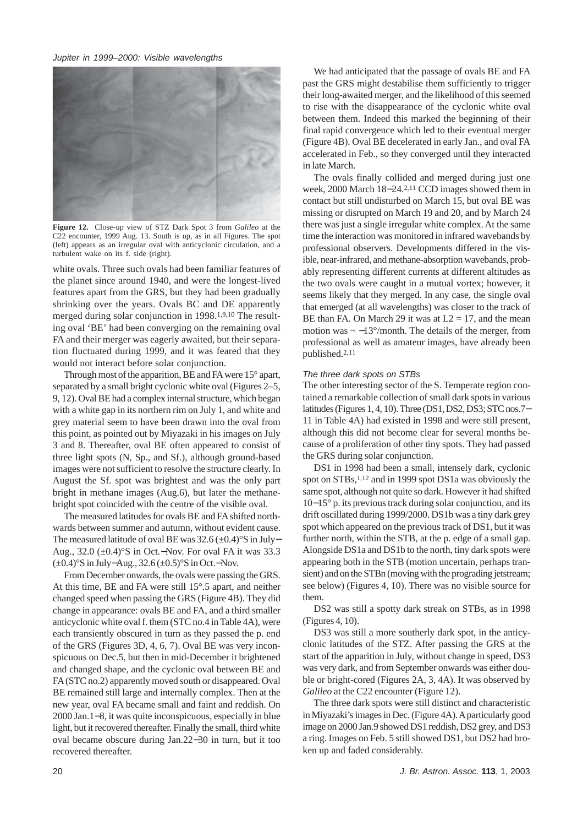

**Figure 12.** Close-up view of STZ Dark Spot 3 from *Galileo* at the C22 encounter, 1999 Aug. 13. South is up, as in all Figures. The spot (left) appears as an irregular oval with anticyclonic circulation, and a turbulent wake on its f. side (right).

white ovals. Three such ovals had been familiar features of the planet since around 1940, and were the longest-lived features apart from the GRS, but they had been gradually shrinking over the years. Ovals BC and DE apparently merged during solar conjunction in 1998.1,9,10 The resulting oval 'BE' had been converging on the remaining oval FA and their merger was eagerly awaited, but their separation fluctuated during 1999, and it was feared that they would not interact before solar conjunction.

Through most of the apparition, BE and FA were 15° apart, separated by a small bright cyclonic white oval (Figures 2–5, 9, 12). Oval BE had a complex internal structure, which began with a white gap in its northern rim on July 1, and white and grey material seem to have been drawn into the oval from this point, as pointed out by Miyazaki in his images on July 3 and 8. Thereafter, oval BE often appeared to consist of three light spots (N, Sp., and Sf.), although ground-based images were not sufficient to resolve the structure clearly. In August the Sf. spot was brightest and was the only part bright in methane images (Aug.6), but later the methanebright spot coincided with the centre of the visible oval.

The measured latitudes for ovals BE and FA shifted northwards between summer and autumn, without evident cause. The measured latitude of oval BE was 32.6 (±0.4)°S in July– Aug., 32.0 (±0.4)°S in Oct.−Nov. For oval FA it was 33.3 (±0.4)°S in July−Aug., 32.6 (±0.5)°S in Oct.−Nov.

From December onwards, the ovals were passing the GRS. At this time, BE and FA were still 15°.5 apart, and neither changed speed when passing the GRS (Figure 4B). They did change in appearance: ovals BE and FA, and a third smaller anticyclonic white oval f. them (STC no.4 in Table 4A), were each transiently obscured in turn as they passed the p. end of the GRS (Figures 3D, 4, 6, 7). Oval BE was very inconspicuous on Dec.5, but then in mid-December it brightened and changed shape, and the cyclonic oval between BE and FA (STC no.2) apparently moved south or disappeared. Oval BE remained still large and internally complex. Then at the new year, oval FA became small and faint and reddish. On 2000 Jan.1−8, it was quite inconspicuous, especially in blue light, but it recovered thereafter. Finally the small, third white oval became obscure during Jan.22−30 in turn, but it too recovered thereafter.

We had anticipated that the passage of ovals BE and FA past the GRS might destabilise them sufficiently to trigger their long-awaited merger, and the likelihood of this seemed to rise with the disappearance of the cyclonic white oval between them. Indeed this marked the beginning of their final rapid convergence which led to their eventual merger (Figure 4B). Oval BE decelerated in early Jan., and oval FA accelerated in Feb., so they converged until they interacted in late March.

The ovals finally collided and merged during just one week, 2000 March 18−24.2,11 CCD images showed them in contact but still undisturbed on March 15, but oval BE was missing or disrupted on March 19 and 20, and by March 24 there was just a single irregular white complex. At the same time the interaction was monitored in infrared wavebands by professional observers. Developments differed in the visible, near-infrared, and methane-absorption wavebands, probably representing different currents at different altitudes as the two ovals were caught in a mutual vortex; however, it seems likely that they merged. In any case, the single oval that emerged (at all wavelengths) was closer to the track of BE than FA. On March 29 it was at  $L2 = 17$ , and the mean motion was  $\sim -13^{\circ}/$ month. The details of the merger, from professional as well as amateur images, have already been published.2,11

#### *The three dark spots on STBs*

The other interesting sector of the S. Temperate region contained a remarkable collection of small dark spots in various latitudes (Figures 1, 4, 10). Three (DS1, DS2, DS3; STC nos.7− 11 in Table 4A) had existed in 1998 and were still present, although this did not become clear for several months because of a proliferation of other tiny spots. They had passed the GRS during solar conjunction.

DS1 in 1998 had been a small, intensely dark, cyclonic spot on STBs,<sup>1,12</sup> and in 1999 spot DS1a was obviously the same spot, although not quite so dark. However it had shifted 10−15° p. its previous track during solar conjunction, and its drift oscillated during 1999/2000. DS1b was a tiny dark grey spot which appeared on the previous track of DS1, but it was further north, within the STB, at the p. edge of a small gap. Alongside DS1a and DS1b to the north, tiny dark spots were appearing both in the STB (motion uncertain, perhaps transient) and on the STBn (moving with the prograding jetstream; see below) (Figures 4, 10). There was no visible source for them.

DS2 was still a spotty dark streak on STBs, as in 1998 (Figures 4, 10).

DS3 was still a more southerly dark spot, in the anticyclonic latitudes of the STZ. After passing the GRS at the start of the apparition in July, without change in speed, DS3 was very dark, and from September onwards was either double or bright-cored (Figures 2A, 3, 4A). It was observed by *Galileo* at the C22 encounter (Figure 12).

The three dark spots were still distinct and characteristic in Miyazaki's images in Dec. (Figure 4A). A particularly good image on 2000 Jan.9 showed DS1 reddish, DS2 grey, and DS3 a ring. Images on Feb. 5 still showed DS1, but DS2 had broken up and faded considerably.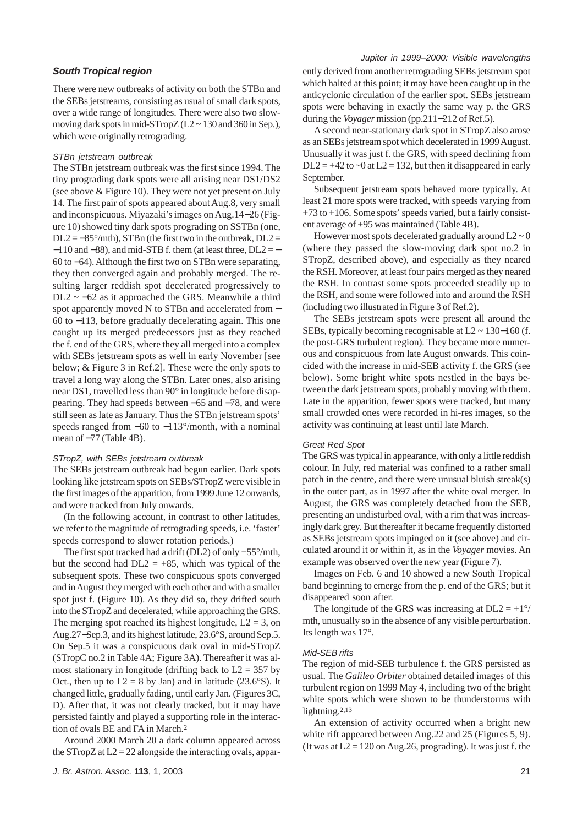# *South Tropical region*

There were new outbreaks of activity on both the STBn and the SEBs jetstreams, consisting as usual of small dark spots, over a wide range of longitudes. There were also two slowmoving dark spots in mid-STropZ ( $L2 \sim 130$  and 360 in Sep.), which were originally retrograding.

# *STBn jetstream outbreak*

The STBn jetstream outbreak was the first since 1994. The tiny prograding dark spots were all arising near DS1/DS2 (see above & Figure 10). They were not yet present on July 14. The first pair of spots appeared about Aug.8, very small and inconspicuous. Miyazaki's images on Aug.14−26 (Figure 10) showed tiny dark spots prograding on SSTBn (one,  $DL2 = -85^{\circ}/m$ th), STBn (the first two in the outbreak,  $DL2 =$  $-110$  and  $-88$ ), and mid-STB f. them (at least three, DL2 =  $-$ 60 to −64). Although the first two on STBn were separating, they then converged again and probably merged. The resulting larger reddish spot decelerated progressively to  $DL2 \sim -62$  as it approached the GRS. Meanwhile a third spot apparently moved N to STBn and accelerated from − 60 to −113, before gradually decelerating again. This one caught up its merged predecessors just as they reached the f. end of the GRS, where they all merged into a complex with SEBs jetstream spots as well in early November [see below; & Figure 3 in Ref.2]. These were the only spots to travel a long way along the STBn. Later ones, also arising near DS1, travelled less than 90° in longitude before disappearing. They had speeds between −65 and −78, and were still seen as late as January. Thus the STBn jetstream spots' speeds ranged from −60 to −113°/month, with a nominal mean of −77 (Table 4B).

### *STropZ, with SEBs jetstream outbreak*

The SEBs jetstream outbreak had begun earlier. Dark spots looking like jetstream spots on SEBs/STropZ were visible in the first images of the apparition, from 1999 June 12 onwards, and were tracked from July onwards.

(In the following account, in contrast to other latitudes, we refer to the magnitude of retrograding speeds, i.e. 'faster' speeds correspond to slower rotation periods.)

The first spot tracked had a drift (DL2) of only +55°/mth, but the second had  $DL2 = +85$ , which was typical of the subsequent spots. These two conspicuous spots converged and in August they merged with each other and with a smaller spot just f. (Figure 10). As they did so, they drifted south into the STropZ and decelerated, while approaching the GRS. The merging spot reached its highest longitude,  $L2 = 3$ , on Aug.27−Sep.3, and its highest latitude, 23.6°S, around Sep.5. On Sep.5 it was a conspicuous dark oval in mid-STropZ (STropC no.2 in Table 4A; Figure 3A). Thereafter it was almost stationary in longitude (drifting back to  $L2 = 357$  by Oct., then up to  $L2 = 8$  by Jan) and in latitude (23.6°S). It changed little, gradually fading, until early Jan. (Figures 3C, D). After that, it was not clearly tracked, but it may have persisted faintly and played a supporting role in the interaction of ovals BE and FA in March.2

Around 2000 March 20 a dark column appeared across the STropZ at  $L2 = 22$  alongside the interacting ovals, apparently derived from another retrograding SEBs jetstream spot which halted at this point; it may have been caught up in the anticyclonic circulation of the earlier spot. SEBs jetstream spots were behaving in exactly the same way p. the GRS during the *Voyager* mission (pp.211−212 of Ref.5).

A second near-stationary dark spot in STropZ also arose as an SEBs jetstream spot which decelerated in 1999 August. Unusually it was just f. the GRS, with speed declining from  $DL2 = +42$  to  $\sim 0$  at  $L2 = 132$ , but then it disappeared in early September.

Subsequent jetstream spots behaved more typically. At least 21 more spots were tracked, with speeds varying from +73 to +106. Some spots' speeds varied, but a fairly consistent average of +95 was maintained (Table 4B).

However most spots decelerated gradually around  $L2 \sim 0$ (where they passed the slow-moving dark spot no.2 in STropZ, described above), and especially as they neared the RSH. Moreover, at least four pairs merged as they neared the RSH. In contrast some spots proceeded steadily up to the RSH, and some were followed into and around the RSH (including two illustrated in Figure 3 of Ref.2).

The SEBs jetstream spots were present all around the SEBs, typically becoming recognisable at L2 ~ 130−160 (f. the post-GRS turbulent region). They became more numerous and conspicuous from late August onwards. This coincided with the increase in mid-SEB activity f. the GRS (see below). Some bright white spots nestled in the bays between the dark jetstream spots, probably moving with them. Late in the apparition, fewer spots were tracked, but many small crowded ones were recorded in hi-res images, so the activity was continuing at least until late March.

# *Great Red Spot*

The GRS was typical in appearance, with only a little reddish colour. In July, red material was confined to a rather small patch in the centre, and there were unusual bluish streak(s) in the outer part, as in 1997 after the white oval merger. In August, the GRS was completely detached from the SEB, presenting an undisturbed oval, with a rim that was increasingly dark grey. But thereafter it became frequently distorted as SEBs jetstream spots impinged on it (see above) and circulated around it or within it, as in the *Voyager* movies. An example was observed over the new year (Figure 7).

Images on Feb. 6 and 10 showed a new South Tropical band beginning to emerge from the p. end of the GRS; but it disappeared soon after.

The longitude of the GRS was increasing at  $DL2 = +1$ °/ mth, unusually so in the absence of any visible perturbation. Its length was 17°.

# *Mid-SEB rifts*

The region of mid-SEB turbulence f. the GRS persisted as usual. The *Galileo Orbiter* obtained detailed images of this turbulent region on 1999 May 4, including two of the bright white spots which were shown to be thunderstorms with lightning.2,13

An extension of activity occurred when a bright new white rift appeared between Aug.22 and 25 (Figures 5, 9). (It was at  $L2 = 120$  on Aug. 26, prograding). It was just f, the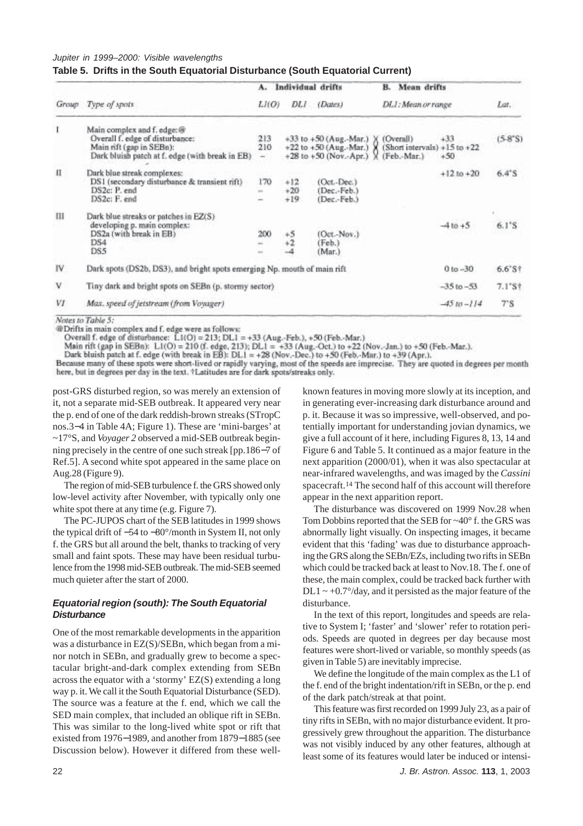| Table 5. Drifts in the South Equatorial Disturbance (South Equatorial Current) |  |  |  |
|--------------------------------------------------------------------------------|--|--|--|
|--------------------------------------------------------------------------------|--|--|--|

|       |                                                                                                                                               | $A -$                | Individual drifts       |                                                                                                                                          | <b>Mean drifts</b><br>В. |                  |                 |
|-------|-----------------------------------------------------------------------------------------------------------------------------------------------|----------------------|-------------------------|------------------------------------------------------------------------------------------------------------------------------------------|--------------------------|------------------|-----------------|
| Group | Type of spots                                                                                                                                 | LI(O)                | DLI                     | (Dates)                                                                                                                                  | DLI: Mean or range       |                  | Lat.            |
| T     | Main complex and f. edge: @<br>Overall f. edge of disturbance:<br>Main rift (gap in SEBn):<br>Dark bluish patch at f. edge (with break in EB) | 213<br>210<br>$\sim$ |                         | +33 to +50 (Aug.-Mar.) ) (Overall)<br>+22 to +50 (Aug.-Mar.) $\chi$ (Short intervals) +15 to +22<br>+28 to +50 (Nov.-Apr.) ) (Feb.-Mar.) |                          | $+33$<br>$+50$   | $(5-8°S)$       |
| П     | Dark blue streak complexes:<br>DS1 (secondary disturbance & transient rift)<br>DS2c: P. end<br>DS2c: F. end                                   | 170<br>$\frac{1}{2}$ | $+12$<br>$+20$<br>$+19$ | (Oct.-Dec.)<br>(Dec.-Feb.)<br>(Dec.-Feb.)                                                                                                |                          | $+1210 + 20$     | $6.4^{\circ}$ S |
| Ш     | Dark blue streaks or patches in EZ(S)<br>developing p. main complex:<br>DS2a (with break in EB)<br>DS4<br>DS5                                 | 200                  | $+5$<br>$+2$            | (Oct.-Nov.)<br>(Feb.)<br>(Mar.)                                                                                                          |                          | $-4 to +5$       | $6.1^{\circ}$ S |
| IV.   | Dark spots (DS2b, DS3), and bright spots emerging Np. mouth of main rift                                                                      |                      |                         |                                                                                                                                          |                          | $0 to -30$       | $6.6's$ †       |
| v     | Tiny dark and bright spots on SEBn (p. stormy sector)                                                                                         |                      |                         |                                                                                                                                          |                          | $-35$ to $-53$ . | $7.1*$ S†       |
| VI    | Max. speed of jetstream (from Voyager)                                                                                                        |                      |                         |                                                                                                                                          |                          | $-45 to -114$    | $7^{\circ}$ S   |

Notes to Table 5:

@Drifts in main complex and f. edge were as follows:

Overall f. edge of disturbance: LI(O) = 213; DL1 = +33 (Aug.-Feb.), +50 (Feb.-Mar.)

Main rift (gap in SEBn):  $L1(O) = 210$  (f. edge, 213);  $DL1 = +33$  (Aug.-Oct.) to +22 (Nov.-Jan.) to +50 (Feb.-Mar.).<br>Dark bluish patch at f. edge (with break in EB):  $DL1 = +28$  (Nov.-Dec.) to +50 (Feb.-Mar.) to +39 (Apr.).

Because many of these spots were short-lived or rapidly varying, most of the speeds are imprecise. They are quoted in degrees per month here, but in degrees per day in the text. \*Latitudes are for dark spots/streaks only.

post-GRS disturbed region, so was merely an extension of it, not a separate mid-SEB outbreak. It appeared very near the p. end of one of the dark reddish-brown streaks (STropC nos.3−4 in Table 4A; Figure 1). These are 'mini-barges' at ~17°S, and *Voyager 2* observed a mid-SEB outbreak beginning precisely in the centre of one such streak [pp.186−7 of Ref.5]. A second white spot appeared in the same place on Aug.28 (Figure 9).

The region of mid-SEB turbulence f. the GRS showed only low-level activity after November, with typically only one white spot there at any time (e.g. Figure 7).

The PC-JUPOS chart of the SEB latitudes in 1999 shows the typical drift of −54 to −80°/month in System II, not only f. the GRS but all around the belt, thanks to tracking of very small and faint spots. These may have been residual turbulence from the 1998 mid-SEB outbreak. The mid-SEB seemed much quieter after the start of 2000.

# *Equatorial region (south): The South Equatorial Disturbance*

One of the most remarkable developments in the apparition was a disturbance in EZ(S)/SEBn, which began from a minor notch in SEBn, and gradually grew to become a spectacular bright-and-dark complex extending from SEBn across the equator with a 'stormy' EZ(S) extending a long way p. it. We call it the South Equatorial Disturbance (SED). The source was a feature at the f. end, which we call the SED main complex, that included an oblique rift in SEBn. This was similar to the long-lived white spot or rift that existed from 1976−1989, and another from 1879−1885 (see Discussion below). However it differed from these wellknown features in moving more slowly at its inception, and in generating ever-increasing dark disturbance around and p. it. Because it was so impressive, well-observed, and potentially important for understanding jovian dynamics, we give a full account of it here, including Figures 8, 13, 14 and Figure 6 and Table 5. It continued as a major feature in the next apparition (2000/01), when it was also spectacular at near-infrared wavelengths, and was imaged by the *Cassini* spacecraft.14 The second half of this account will therefore appear in the next apparition report.

The disturbance was discovered on 1999 Nov.28 when Tom Dobbins reported that the SEB for ~40° f. the GRS was abnormally light visually. On inspecting images, it became evident that this 'fading' was due to disturbance approaching the GRS along the SEBn/EZs, including two rifts in SEBn which could be tracked back at least to Nov.18. The f. one of these, the main complex, could be tracked back further with  $DL1 \sim +0.7^{\circ}/day$ , and it persisted as the major feature of the disturbance.

In the text of this report, longitudes and speeds are relative to System I; 'faster' and 'slower' refer to rotation periods. Speeds are quoted in degrees per day because most features were short-lived or variable, so monthly speeds (as given in Table 5) are inevitably imprecise.

We define the longitude of the main complex as the L1 of the f. end of the bright indentation/rift in SEBn, or the p. end of the dark patch/streak at that point.

This feature was first recorded on 1999 July 23, as a pair of tiny rifts in SEBn, with no major disturbance evident. It progressively grew throughout the apparition. The disturbance was not visibly induced by any other features, although at least some of its features would later be induced or intensi-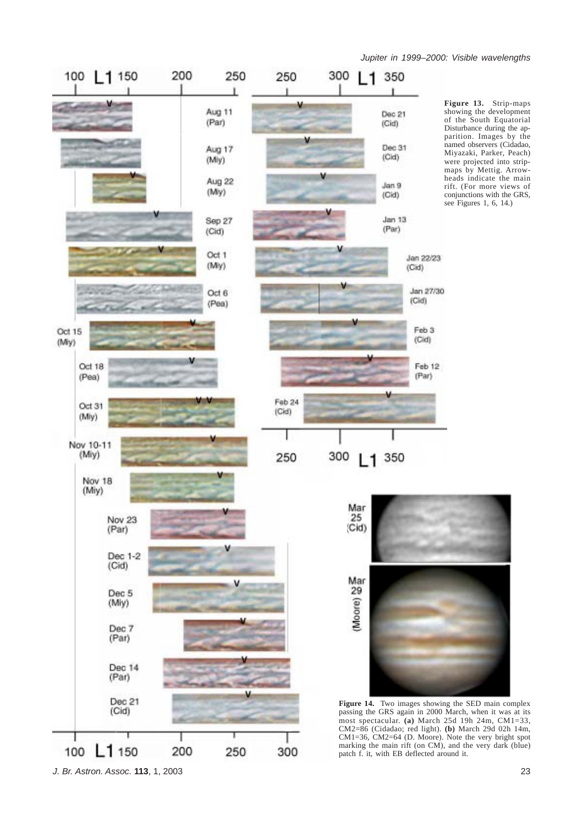

**Figure 13.** Strip-maps showing the development of the South Equatorial Disturbance during the apparition. Images by the named observers (Cidadao, Miyazaki, Parker, Peach) were projected into stripmaps by Mettig. Arrowheads indicate the main rift. (For more views of conjunctions with the GRS, see Figures 1, 6, 14.)



**Figure 14.** Two images showing the SED main complex passing the GRS again in 2000 March, when it was at its most spectacular. **(a)** March 25d 19h 24m, CM1=33, CM2=86 (Cidadao; red light). **(b)** March 29d 02h 14m, CM1=36, CM2=64 (D. Moore). Note the very bright spot marking the main rift (on CM), and the very dark (blue) patch f. it, with EB deflected around it.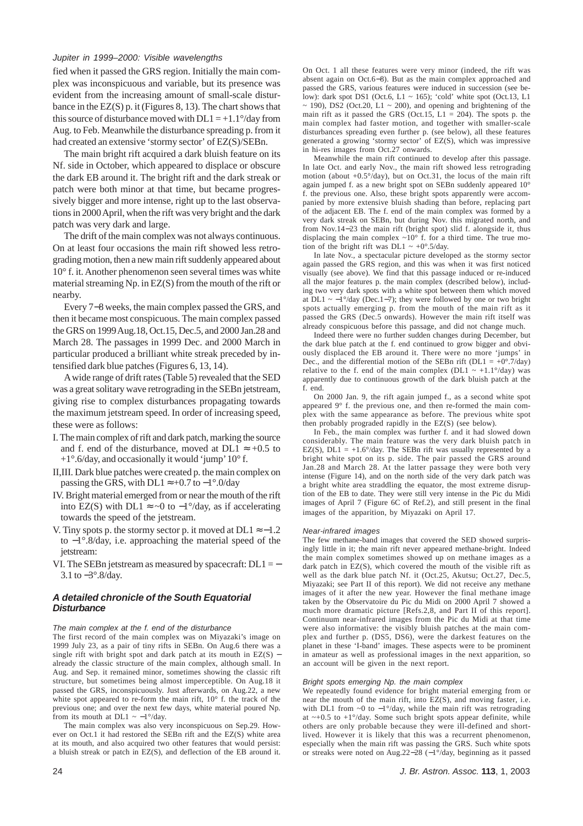fied when it passed the GRS region. Initially the main complex was inconspicuous and variable, but its presence was evident from the increasing amount of small-scale disturbance in the EZ(S) p. it (Figures 8, 13). The chart shows that this source of disturbance moved with  $DL1 = +1.1^{\circ}/day$  from Aug. to Feb. Meanwhile the disturbance spreading p. from it had created an extensive 'stormy sector' of EZ(S)/SEBn.

The main bright rift acquired a dark bluish feature on its Nf. side in October, which appeared to displace or obscure the dark EB around it. The bright rift and the dark streak or patch were both minor at that time, but became progressively bigger and more intense, right up to the last observations in 2000 April, when the rift was very bright and the dark patch was very dark and large.

The drift of the main complex was not always continuous. On at least four occasions the main rift showed less retrograding motion, then a new main rift suddenly appeared about 10° f. it. Another phenomenon seen several times was white material streaming Np. in EZ(S) from the mouth of the rift or nearby.

Every 7−8 weeks, the main complex passed the GRS, and then it became most conspicuous. The main complex passed the GRS on 1999 Aug.18, Oct.15, Dec.5, and 2000 Jan.28 and March 28. The passages in 1999 Dec. and 2000 March in particular produced a brilliant white streak preceded by intensified dark blue patches (Figures 6, 13, 14).

A wide range of drift rates (Table 5) revealed that the SED was a great solitary wave retrograding in the SEBn jetstream, giving rise to complex disturbances propagating towards the maximum jetstream speed. In order of increasing speed, these were as follows:

- I. The main complex of rift and dark patch, marking the source and f. end of the disturbance, moved at DL1  $\approx$  +0.5 to  $+1^{\circ}$ .6/day, and occasionally it would 'jump' 10° f.
- II,III. Dark blue patches were created p. the main complex on passing the GRS, with DL1  $\approx$  +0.7 to −1°.0/day
- IV. Bright material emerged from or near the mouth of the rift into EZ(S) with DL1 ≈ ~0 to  $-1^{\circ}/day$ , as if accelerating towards the speed of the jetstream.
- V. Tiny spots p. the stormy sector p. it moved at  $DL1 \approx -1.2$ to −1°.8/day, i.e. approaching the material speed of the jetstream:
- VI. The SEBn jetstream as measured by spacecraft:  $DL1 = -$ 3.1 to −3°.8/day.

# *A detailed chronicle of the South Equatorial Disturbance*

*The main complex at the f. end of the disturbance*

The first record of the main complex was on Miyazaki's image on 1999 July 23, as a pair of tiny rifts in SEBn. On Aug.6 there was a single rift with bright spot and dark patch at its mouth in EZ(S) − already the classic structure of the main complex, although small. In Aug. and Sep. it remained minor, sometimes showing the classic rift structure, but sometimes being almost imperceptible. On Aug.18 it passed the GRS, inconspicuously. Just afterwards, on Aug.22, a new white spot appeared to re-form the main rift, 10° f. the track of the previous one; and over the next few days, white material poured Np. from its mouth at DL1  $\sim -1^{\circ}/day$ .

The main complex was also very inconspicuous on Sep.29. However on Oct.1 it had restored the SEBn rift and the EZ(S) white area at its mouth, and also acquired two other features that would persist: a bluish streak or patch in EZ(S), and deflection of the EB around it. On Oct. 1 all these features were very minor (indeed, the rift was absent again on Oct.6−8). But as the main complex approached and passed the GRS, various features were induced in succession (see below): dark spot DS1 (Oct.6, L1  $\sim$  165); 'cold' white spot (Oct.13, L1  $\sim$  190), DS2 (Oct.20, L1  $\sim$  200), and opening and brightening of the main rift as it passed the GRS (Oct.15,  $L1 = 204$ ). The spots p. the main complex had faster motion, and together with smaller-scale disturbances spreading even further p. (see below), all these features generated a growing 'stormy sector' of EZ(S), which was impressive in hi-res images from Oct.27 onwards.

Meanwhile the main rift continued to develop after this passage. In late Oct. and early Nov., the main rift showed less retrograding motion (about  $+0.5^{\circ}/day$ ), but on Oct.31, the locus of the main rift again jumped f. as a new bright spot on SEBn suddenly appeared 10° f. the previous one. Also, these bright spots apparently were accompanied by more extensive bluish shading than before, replacing part of the adjacent EB. The f. end of the main complex was formed by a very dark streak on SEBn, but during Nov. this migrated north, and from Nov.14−23 the main rift (bright spot) slid f. alongside it, thus displacing the main complex ~10° f. for a third time. The true motion of the bright rift was DL1  $\sim +0^{\circ}.5$ /day.

In late Nov., a spectacular picture developed as the stormy sector again passed the GRS region, and this was when it was first noticed visually (see above). We find that this passage induced or re-induced all the major features p. the main complex (described below), including two very dark spots with a white spot between them which moved at DL1 ~  $-1^{\circ}/day$  (Dec.1–7); they were followed by one or two bright spots actually emerging p. from the mouth of the main rift as it passed the GRS (Dec.5 onwards). However the main rift itself was already conspicuous before this passage, and did not change much.

Indeed there were no further sudden changes during December, but the dark blue patch at the f. end continued to grow bigger and obviously displaced the EB around it. There were no more 'jumps' in Dec., and the differential motion of the SEBn rift (DL1 =  $+0^{\circ}$ .7/day) relative to the f. end of the main complex (DL1  $\sim$  +1.1°/day) was apparently due to continuous growth of the dark bluish patch at the f. end.

On 2000 Jan. 9, the rift again jumped f., as a second white spot appeared 9° f. the previous one, and then re-formed the main complex with the same appearance as before. The previous white spot then probably prograded rapidly in the EZ(S) (see below).

In Feb., the main complex was further f. and it had slowed down considerably. The main feature was the very dark bluish patch in EZ(S),  $DL1 = +1.6^{\circ}/day$ . The SEBn rift was usually represented by a bright white spot on its p. side. The pair passed the GRS around Jan.28 and March 28. At the latter passage they were both very intense (Figure 14), and on the north side of the very dark patch was a bright white area straddling the equator, the most extreme disruption of the EB to date. They were still very intense in the Pic du Midi images of April 7 (Figure 6C of Ref.2), and still present in the final images of the apparition, by Miyazaki on April 17.

#### *Near-infrared images*

The few methane-band images that covered the SED showed surprisingly little in it; the main rift never appeared methane-bright. Indeed the main complex sometimes showed up on methane images as a dark patch in EZ(S), which covered the mouth of the visible rift as well as the dark blue patch Nf. it (Oct.25, Akutsu; Oct.27, Dec.5, Miyazaki; see Part II of this report). We did not receive any methane images of it after the new year. However the final methane image taken by the Observatoire du Pic du Midi on 2000 April 7 showed a much more dramatic picture [Refs.2,8, and Part II of this report]. Continuum near-infrared images from the Pic du Midi at that time were also informative: the visibly bluish patches at the main complex and further p. (DS5, DS6), were the darkest features on the planet in these 'I-band' images. These aspects were to be prominent in amateur as well as professional images in the next apparition, so an account will be given in the next report.

#### *Bright spots emerging Np. the main complex*

We repeatedly found evidence for bright material emerging from or near the mouth of the main rift, into EZ(S), and moving faster, i.e. with DL1 from  $\sim 0$  to  $-1^{\circ}/\text{day}$ , while the main rift was retrograding at  $\sim +0.5$  to  $+1^{\circ}/\text{day}$ . Some such bright spots appear definite, while others are only probable because they were ill-defined and shortlived. However it is likely that this was a recurrent phenomenon, especially when the main rift was passing the GRS. Such white spots or streaks were noted on Aug.22−28 (−1°/day, beginning as it passed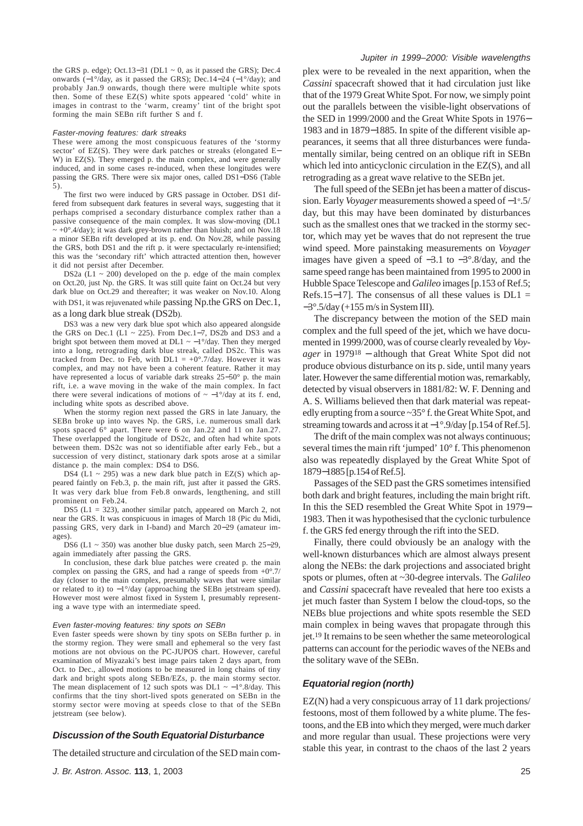the GRS p. edge); Oct.13−31 (DL1 ~ 0, as it passed the GRS); Dec.4 onwards (−1°/day, as it passed the GRS); Dec.14−24 (−1°/day); and probably Jan.9 onwards, though there were multiple white spots then. Some of these EZ(S) white spots appeared 'cold' white in images in contrast to the 'warm, creamy' tint of the bright spot forming the main SEBn rift further S and f.

#### *Faster-moving features: dark streaks*

These were among the most conspicuous features of the 'stormy sector' of EZ(S). They were dark patches or streaks (elongated E− W) in EZ(S). They emerged p. the main complex, and were generally induced, and in some cases re-induced, when these longitudes were passing the GRS. There were six major ones, called DS1−DS6 (Table 5).

The first two were induced by GRS passage in October. DS1 differed from subsequent dark features in several ways, suggesting that it perhaps comprised a secondary disturbance complex rather than a passive consequence of the main complex. It was slow-moving (DL1  $\sim +0^{\circ}$ .4/day); it was dark grey-brown rather than bluish; and on Nov.18 a minor SEBn rift developed at its p. end. On Nov.28, while passing the GRS, both DS1 and the rift p. it were spectacularly re-intensified; this was the 'secondary rift' which attracted attention then, however it did not persist after December.

DS2a ( $L1 \sim 200$ ) developed on the p. edge of the main complex on Oct.20, just Np. the GRS. It was still quite faint on Oct.24 but very dark blue on Oct.29 and thereafter; it was weaker on Nov.10. Along with DS1, it was rejuvenated while passing Np.the GRS on Dec.1, as a long dark blue streak (DS2b).

DS3 was a new very dark blue spot which also appeared alongside the GRS on Dec.1 (L1 ~ 225). From Dec.1–7, DS2b and DS3 and a bright spot between them moved at DL1  $\sim -1^{\circ}/dx$ . Then they merged into a long, retrograding dark blue streak, called DS2c. This was tracked from Dec. to Feb, with  $DL1 = +0°.7$ /day. However it was complex, and may not have been a coherent feature. Rather it may have represented a locus of variable dark streaks 25−50° p. the main rift, i.e. a wave moving in the wake of the main complex. In fact there were several indications of motions of  $\sim -1^{\circ}/\text{day}$  at its f. end, including white spots as described above.

When the stormy region next passed the GRS in late January, the SEBn broke up into waves Np. the GRS, i.e. numerous small dark spots spaced  $6^\circ$  apart. There were 6 on Jan.22 and 11 on Jan.27. These overlapped the longitude of DS2c, and often had white spots between them. DS2c was not so identifiable after early Feb., but a succession of very distinct, stationary dark spots arose at a similar distance p. the main complex: DS4 to DS6.

DS4 (L1  $\sim$  295) was a new dark blue patch in EZ(S) which appeared faintly on Feb.3, p. the main rift, just after it passed the GRS. It was very dark blue from Feb.8 onwards, lengthening, and still prominent on Feb.24.

DS5 (L1 = 323), another similar patch, appeared on March 2, not near the GRS. It was conspicuous in images of March 18 (Pic du Midi, passing GRS, very dark in I-band) and March 20−29 (amateur images).

DS6 (L1 ~ 350) was another blue dusky patch, seen March 25−29, again immediately after passing the GRS.

In conclusion, these dark blue patches were created p. the main complex on passing the GRS, and had a range of speeds from +0°.7/ day (closer to the main complex, presumably waves that were similar or related to it) to −1°/day (approaching the SEBn jetstream speed). However most were almost fixed in System I, presumably representing a wave type with an intermediate speed.

#### *Even faster-moving features: tiny spots on SEBn*

Even faster speeds were shown by tiny spots on SEBn further p. in the stormy region. They were small and ephemeral so the very fast motions are not obvious on the PC-JUPOS chart. However, careful examination of Miyazaki's best image pairs taken 2 days apart, from Oct. to Dec., allowed motions to be measured in long chains of tiny dark and bright spots along SEBn/EZs, p. the main stormy sector. The mean displacement of 12 such spots was DL1  $\sim -1^{\circ}.8$ /day. This confirms that the tiny short-lived spots generated on SEBn in the stormy sector were moving at speeds close to that of the SEBn jetstream (see below).

## *Discussion of the South Equatorial Disturbance*

The detailed structure and circulation of the SED main com-

plex were to be revealed in the next apparition, when the *Cassini* spacecraft showed that it had circulation just like that of the 1979 Great White Spot. For now, we simply point out the parallels between the visible-light observations of the SED in 1999/2000 and the Great White Spots in 1976− 1983 and in 1879−1885. In spite of the different visible appearances, it seems that all three disturbances were fundamentally similar, being centred on an oblique rift in SEBn which led into anticyclonic circulation in the EZ(S), and all retrograding as a great wave relative to the SEBn jet.

The full speed of the SEBn jet has been a matter of discussion. Early *Voyager* measurements showed a speed of −1°.5/ day, but this may have been dominated by disturbances such as the smallest ones that we tracked in the stormy sector, which may yet be waves that do not represent the true wind speed. More painstaking measurements on *Voyager* images have given a speed of −3.1 to −3°.8/day, and the same speed range has been maintained from 1995 to 2000 in Hubble Space Telescope and *Galileo* images [p.153 of Ref.5; Refs.15−17]. The consensus of all these values is  $DL1 =$ −3°.5/day (+155 m/s in System III).

The discrepancy between the motion of the SED main complex and the full speed of the jet, which we have documented in 1999/2000, was of course clearly revealed by *Voyager* in 197918 − although that Great White Spot did not produce obvious disturbance on its p. side, until many years later. However the same differential motion was, remarkably, detected by visual observers in 1881/82: W. F. Denning and A. S. Williams believed then that dark material was repeatedly erupting from a source ~35° f. the Great White Spot, and streaming towards and across it at −1°.9/day [p.154 of Ref.5].

The drift of the main complex was not always continuous; several times the main rift 'jumped' 10° f. This phenomenon also was repeatedly displayed by the Great White Spot of 1879−1885 [p.154 of Ref.5].

Passages of the SED past the GRS sometimes intensified both dark and bright features, including the main bright rift. In this the SED resembled the Great White Spot in 1979− 1983. Then it was hypothesised that the cyclonic turbulence f. the GRS fed energy through the rift into the SED.

Finally, there could obviously be an analogy with the well-known disturbances which are almost always present along the NEBs: the dark projections and associated bright spots or plumes, often at ~30-degree intervals. The *Galileo* and *Cassini* spacecraft have revealed that here too exists a jet much faster than System I below the cloud-tops, so the NEBs blue projections and white spots resemble the SED main complex in being waves that propagate through this jet.19 It remains to be seen whether the same meteorological patterns can account for the periodic waves of the NEBs and the solitary wave of the SEBn.

## *Equatorial region (north)*

EZ(N) had a very conspicuous array of 11 dark projections/ festoons, most of them followed by a white plume. The festoons, and the EB into which they merged, were much darker and more regular than usual. These projections were very stable this year, in contrast to the chaos of the last 2 years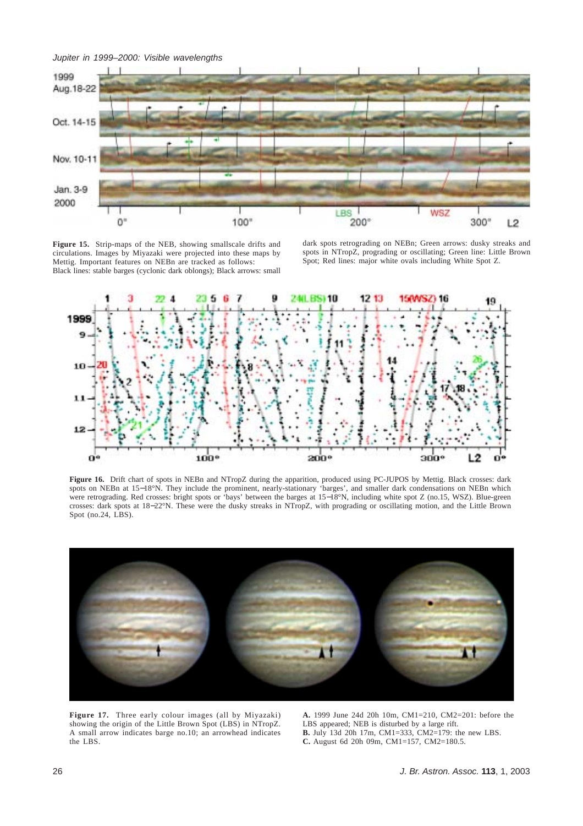

**Figure 15.** Strip-maps of the NEB, showing smallscale drifts and circulations. Images by Miyazaki were projected into these maps by Mettig. Important features on NEBn are tracked as follows: Black lines: stable barges (cyclonic dark oblongs); Black arrows: small

dark spots retrograding on NEBn; Green arrows: dusky streaks and spots in NTropZ, prograding or oscillating; Green line: Little Brown Spot; Red lines: major white ovals including White Spot Z.



**Figure 16.** Drift chart of spots in NEBn and NTropZ during the apparition, produced using PC-JUPOS by Mettig. Black crosses: dark spots on NEBn at 15−18°N. They include the prominent, nearly-stationary 'barges', and smaller dark condensations on NEBn which were retrograding. Red crosses: bright spots or 'bays' between the barges at 15−18°N, including white spot Z (no.15, WSZ). Blue-green crosses: dark spots at 18−22°N. These were the dusky streaks in NTropZ, with prograding or oscillating motion, and the Little Brown Spot (no.24, LBS).



**Figure 17.** Three early colour images (all by Miyazaki) showing the origin of the Little Brown Spot (LBS) in NTropZ. A small arrow indicates barge no.10; an arrowhead indicates the LBS.

**A.** 1999 June 24d 20h 10m, CM1=210, CM2=201: before the LBS appeared; NEB is disturbed by a large rift. **B.** July 13d 20h 17m, CM1=333, CM2=179: the new LBS. **C.** August 6d 20h 09m, CM1=157, CM2=180.5.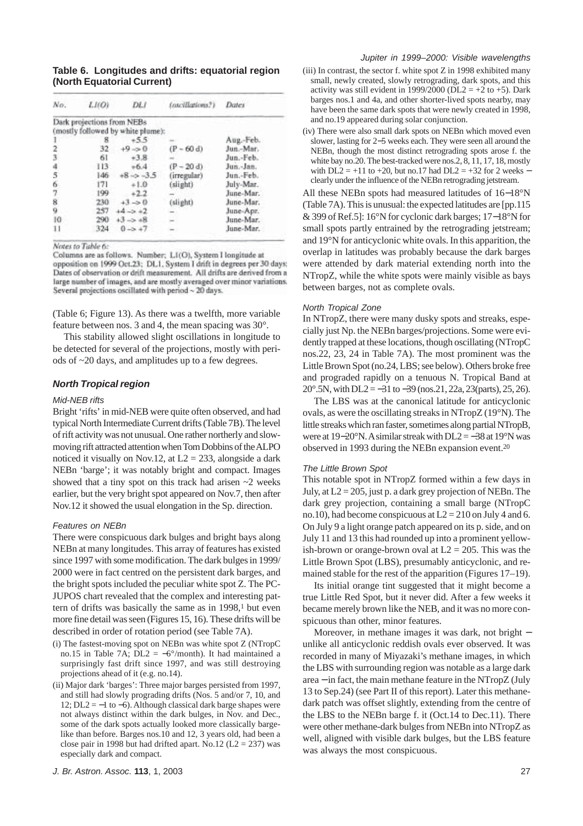**Table 6. Longitudes and drifts: equatorial region (North Equatorial Current)**

| No.           | LI(O) | DLI                               | (oscillations?) | <b>Dates</b> |
|---------------|-------|-----------------------------------|-----------------|--------------|
|               |       | Dark projections from NEBs        |                 |              |
|               |       | (mostly followed by white plume): |                 |              |
|               | x     | $+5.5$                            |                 | Aug.-Feb.    |
| 2             | 32    | $+9 \Rightarrow 0$                | $(P - 60 d)$    | Jun.-Mar.    |
| 3             | 61    | $+3.8$                            |                 | Jun.-Feb.    |
|               | 113   | $+6.4$                            | $(P - 20 d)$    | Jun.-Jan.    |
| $\frac{4}{5}$ | 146   | $+8 - 3.5$                        | (irregular)     | Jun.-Feb.    |
| 6             | 171   | $+1.0$                            | (slight)        | July-Mar.    |
| 7             | 199   | $+2.2$                            |                 | June-Mar.    |
| 8             | 230   | $+3 - 0$                          | (slight)        | June-Mar.    |
| 9             | 257   | $+4 - 5 + 2$                      |                 | June-Apr.    |
| 10            | 290   | $+3 - 248$                        |                 | June-Mar.    |
| 11            | 324   | $0 - 2 + 7$                       |                 | June-Mar.    |

Notes to Table 6:

Columns are as follows. Number; L1(O), System I longitude at opposition on 1999 Oct.23; DL1, System I drift in degrees per 30 days; Dates of observation or drift measurement. All drifts are derived from a large number of images, and are mostly averaged over minor variations. Several projections oscillated with period ~ 20 days.

(Table 6; Figure 13). As there was a twelfth, more variable feature between nos. 3 and 4, the mean spacing was 30°.

This stability allowed slight oscillations in longitude to be detected for several of the projections, mostly with periods of ~20 days, and amplitudes up to a few degrees.

# *North Tropical region*

#### *Mid-NEB rifts*

Bright 'rifts' in mid-NEB were quite often observed, and had typical North Intermediate Current drifts (Table 7B). The level of rift activity was not unusual. One rather northerly and slowmoving rift attracted attention when Tom Dobbins of the ALPO noticed it visually on Nov.12, at  $L2 = 233$ , alongside a dark NEBn 'barge'; it was notably bright and compact. Images showed that a tiny spot on this track had arisen  $\sim$ 2 weeks earlier, but the very bright spot appeared on Nov.7, then after Nov.12 it showed the usual elongation in the Sp. direction.

#### *Features on NEBn*

There were conspicuous dark bulges and bright bays along NEBn at many longitudes. This array of features has existed since 1997 with some modification. The dark bulges in 1999/ 2000 were in fact centred on the persistent dark barges, and the bright spots included the peculiar white spot Z. The PC-JUPOS chart revealed that the complex and interesting pattern of drifts was basically the same as in 1998,<sup>1</sup> but even more fine detail was seen (Figures 15, 16). These drifts will be described in order of rotation period (see Table 7A).

- (i) The fastest-moving spot on NEBn was white spot Z (NTropC no.15 in Table 7A;  $\overrightarrow{DL} = -6^{\circ}/\text{month}$ ). It had maintained a surprisingly fast drift since 1997, and was still destroying projections ahead of it (e.g. no.14).
- (ii) Major dark 'barges': Three major barges persisted from 1997, and still had slowly prograding drifts (Nos. 5 and/or 7, 10, and 12;  $DL2 = -1$  to  $-6$ ). Although classical dark barge shapes were not always distinct within the dark bulges, in Nov. and Dec., some of the dark spots actually looked more classically bargelike than before. Barges nos.10 and 12, 3 years old, had been a close pair in 1998 but had drifted apart. No.12 ( $L2 = 237$ ) was especially dark and compact.
- (iii) In contrast, the sector f. white spot Z in 1998 exhibited many small, newly created, slowly retrograding, dark spots, and this activity was still evident in 1999/2000 (DL2 =  $+2$  to  $+5$ ). Dark barges nos.1 and 4a, and other shorter-lived spots nearby, may have been the same dark spots that were newly created in 1998, and no.19 appeared during solar conjunction.
- (iv) There were also small dark spots on NEBn which moved even slower, lasting for 2−5 weeks each. They were seen all around the NEBn, though the most distinct retrograding spots arose f. the white bay no.20. The best-tracked were nos.2, 8, 11, 17, 18, mostly with  $DL2 = +11$  to +20, but no.17 had  $DL2 = +32$  for 2 weeks – clearly under the influence of the NEBn retrograding jetstream.

All these NEBn spots had measured latitudes of 16−18°N (Table 7A). This is unusual: the expected latitudes are [pp.115 & 399 of Ref.5]: 16°N for cyclonic dark barges; 17−18°N for small spots partly entrained by the retrograding jetstream; and 19°N for anticyclonic white ovals. In this apparition, the overlap in latitudes was probably because the dark barges were attended by dark material extending north into the NTropZ, while the white spots were mainly visible as bays between barges, not as complete ovals.

## *North Tropical Zone*

In NTropZ, there were many dusky spots and streaks, especially just Np. the NEBn barges/projections. Some were evidently trapped at these locations, though oscillating (NTropC nos.22, 23, 24 in Table 7A). The most prominent was the Little Brown Spot (no.24, LBS; see below). Others broke free and prograded rapidly on a tenuous N. Tropical Band at 20°.5N, with DL2 = −31 to −39 (nos.21, 22a, 23(parts), 25, 26).

The LBS was at the canonical latitude for anticyclonic ovals, as were the oscillating streaks in NTropZ (19°N). The little streaks which ran faster, sometimes along partial NTropB, were at 19–20°N. A similar streak with DL2 = −38 at 19°N was observed in 1993 during the NEBn expansion event.20

## *The Little Brown Spot*

This notable spot in NTropZ formed within a few days in July, at  $L2 = 205$ , just p. a dark grey projection of NEBn. The dark grey projection, containing a small barge (NTropC no.10), had become conspicuous at  $L2 = 210$  on July 4 and 6. On July 9 a light orange patch appeared on its p. side, and on July 11 and 13 this had rounded up into a prominent yellowish-brown or orange-brown oval at  $L2 = 205$ . This was the Little Brown Spot (LBS), presumably anticyclonic, and remained stable for the rest of the apparition (Figures 17–19).

Its initial orange tint suggested that it might become a true Little Red Spot, but it never did. After a few weeks it became merely brown like the NEB, and it was no more conspicuous than other, minor features.

Moreover, in methane images it was dark, not bright − unlike all anticyclonic reddish ovals ever observed. It was recorded in many of Miyazaki's methane images, in which the LBS with surrounding region was notable as a large dark area − in fact, the main methane feature in the NTropZ (July 13 to Sep.24) (see Part II of this report). Later this methanedark patch was offset slightly, extending from the centre of the LBS to the NEBn barge f. it (Oct.14 to Dec.11). There were other methane-dark bulges from NEBn into NTropZ as well, aligned with visible dark bulges, but the LBS feature was always the most conspicuous.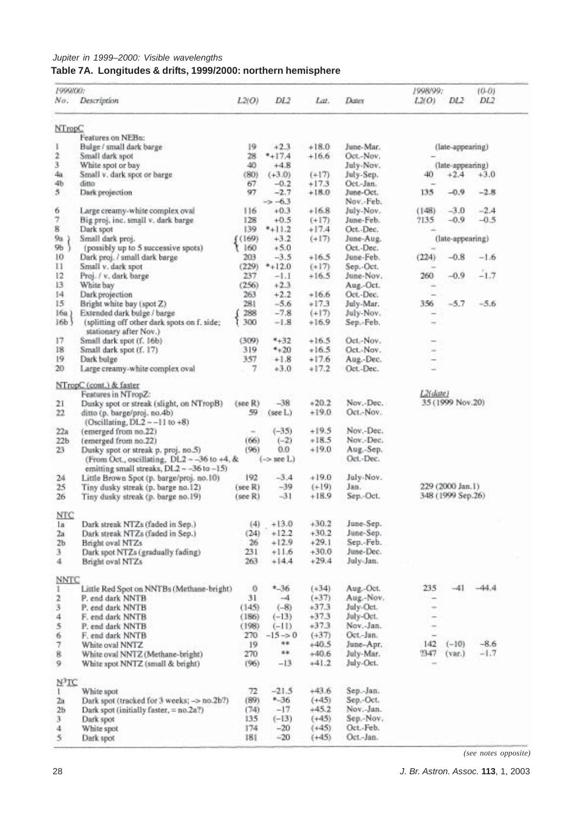# *Jupiter in 1999–2000: Visible wavelengths* **Table 7A. Longitudes & drifts, 1999/2000: northern hemisphere**

| 1999/00:                | No. Description                                                                                                    | L2(O)         | DL2                 | Lat.               | Dates                  | 1998/99:<br>L2(O) | DL <sub>2</sub>   | $(0-0)$<br>DL <sub>2</sub> |
|-------------------------|--------------------------------------------------------------------------------------------------------------------|---------------|---------------------|--------------------|------------------------|-------------------|-------------------|----------------------------|
| NTropC                  |                                                                                                                    |               |                     |                    |                        |                   |                   |                            |
|                         | Features on NEBa:                                                                                                  |               |                     |                    |                        |                   |                   |                            |
| 1                       | Bulge / small dark barge                                                                                           | 19            | $+2.3$              | $+18.0$            | June-Mar.              |                   | (late-appearing)  |                            |
| $\ddot{ }$              | Small dark spot                                                                                                    | 28            | $*+17.4$            | $+16.6$            | Oct.-Nov.              |                   |                   |                            |
| 3                       | White spot or bay                                                                                                  | 40            | $+4.8$              |                    | July-Nov.              |                   | (late-appearing)  |                            |
| 4a                      | Small v. dark spot or barge                                                                                        | (80)          | $(+3.0)$            | $(+17)$            | July-Sep.              | 40                | $+2.4$            | $+3.0$                     |
| 46                      | ditto                                                                                                              | 67            | $-0.2$              | $+17.3$            | Oct.-Jan.              |                   |                   |                            |
| 5                       | Dark projection                                                                                                    | 97            | $-2.7$              | $+18.0$            | June-Oct.              | 135               | $-0.9$            | $-2.8$                     |
|                         |                                                                                                                    |               | $\rightarrow -6.3$  |                    | Nov.-Feb.              |                   |                   |                            |
| 6                       | Large creamy-white complex oval                                                                                    | 116           | $+0.3$              | $+16.8$            | July-Nov.              | (148)             | $-3.0$            | $-2.4$                     |
| 7<br>8                  | Big proj. inc. small v. dark barge                                                                                 | 128           | $+0.5$              | $(+17)$            | June-Feb.              | 2135              | $-0.9$            | $-0.5$                     |
|                         | Dark spot<br>Small dark proj.                                                                                      | 139           | $*+11.2$<br>$+3.2$  | $+17.4$<br>$(+17)$ | Oct.-Dec.              |                   |                   |                            |
| 9a<br>9 <sub>b</sub>    | (possibly up to 5 successive spots)                                                                                | (169)<br>160  | $+5.0$              |                    | June-Aug.<br>Oct.-Dec. |                   | (late-appearing)  |                            |
| 10                      | Dark proj. / small dark barge                                                                                      | 203           | $-3.5$              | $+16.5$            | June-Feb.              | (224)             | $-0.8$            | $-1.6$                     |
| 11                      | Small v. dark spot                                                                                                 | (229)         | $*+12.0$            | $(+17)$            | Sep.-Oct.              |                   |                   |                            |
| 12                      | Proj. / v. dark barge                                                                                              | 237           | $-1.1$              | $+16.5$            | June-Nov.              | 260               | $-0.9$            | $-1.7$                     |
| 13                      | White bay                                                                                                          | (256)         | $+2.3$              |                    | Aug.-Oct.              |                   |                   |                            |
| $^{14}$                 | Dark projection                                                                                                    | 263           | $+2.2$              | $+16.6$            | Oct.-Dec.              |                   |                   |                            |
| 15                      | Bright white bay (spot Z)                                                                                          | 281           | $-5.6$              | $+17.3$            | July-Mar.              | 356               | $-5.7$            | $-5.6$                     |
| $16a$ )                 | Extended dark bulge / barge                                                                                        | 288           | $-7.8$              | $(+17)$            | July-Nov.              |                   |                   |                            |
| 16 <sub>b</sub>         | (splitting off other dark spots on f. side;                                                                        | 300           | $-1.8$              | $+16.9$            | Sep.-Feb.              |                   |                   |                            |
|                         | stationary after Nov.)                                                                                             |               |                     |                    |                        |                   |                   |                            |
| 17                      | Small dark spot (f. 16b)                                                                                           | (309)         | $*+32$              | $+16.5$            | Oct.-Nov.              |                   |                   |                            |
| 18                      | Small dark spot (f. 17)                                                                                            | 319           | $*+20$              | $+16.5$            | Oct.-Nov.              |                   |                   |                            |
| 19                      | Dark bulge                                                                                                         | 357           | $+1.8$              | $+17.6$            | Aug.-Dec.              |                   |                   |                            |
| 20                      | Large creamy-white complex oval                                                                                    | 7             | $+3.0$              | $+17.2$            | Oct.-Dec.              |                   |                   |                            |
|                         |                                                                                                                    |               |                     |                    |                        |                   |                   |                            |
|                         | NTropC (cont.) & faster                                                                                            |               |                     |                    |                        |                   |                   |                            |
|                         | Features in NTropZ:                                                                                                |               |                     |                    |                        | L2(date)          |                   |                            |
| 21<br>22                | Dusky spot or streak (slight, on NTropB)<br>ditto (p. barge/proj. no.4b)<br>(Oscillating, $DL2 \approx -11$ to +8) | (sec R)<br>59 | $-38$<br>(see L)    | $+20.2$<br>$+19.0$ | Nov.-Dec.<br>Oct.-Nov. |                   | 35 (1999 Nov.20)  |                            |
|                         | (emerged from no.22)                                                                                               | $\rightarrow$ | $(-35)$             | $+19.5$            | Nov.-Dec.              |                   |                   |                            |
| 22a<br>22b              | (emerged from no.22)                                                                                               | (66)          | $(-2)$              | $+18.5$            | Nov.-Dec.              |                   |                   |                            |
| 23                      | Dusky spot or streak p. proj. no.5)                                                                                | (96)          | 0.0                 | $+19.0$            | Aug.-Sep.              |                   |                   |                            |
|                         | (From Oct., oscillating, $DL2 - -36$ to +4, &                                                                      |               | $(-\ge$ see $L$ .)  |                    | Oct.-Dec.              |                   |                   |                            |
|                         | emitting small streaks, DL2 ~ -36 to -15)                                                                          |               |                     |                    |                        |                   |                   |                            |
| 24                      | Little Brown Spot (p. barge/proj. no.10)                                                                           | 192           | $-3.4$              | $+19.0$            | July-Nov.              |                   |                   |                            |
| 25                      | Tiny dusky streak (p. barge no.12)                                                                                 | $(see R)$     | $-39$               | $(+19)$            | Jan.                   |                   | 229 (2000 Jan.1)  |                            |
| 26                      | Tiny dusky streak (p. barge no.19)                                                                                 | (see R)       | $-31$               | $+18.9$            | Sep.-Oct.              |                   | 348 (1999 Sep.26) |                            |
| <b>NTC</b>              |                                                                                                                    |               |                     |                    |                        |                   |                   |                            |
| la                      | Dark streak NTZs (faded in Sep.)                                                                                   | (4)           | $+13.0$             | $+30.2$            | June-Sep.              |                   |                   |                            |
| 2a                      | Dark streak NTZs (faded in Sep.)                                                                                   | (24)          | $+12.2$             | $+30.2$            | June-Sep.              |                   |                   |                            |
| 2 <sub>b</sub>          | Bright oval NTZs                                                                                                   | 26            | $+12.9$             | $+29.1$            | Sep.-Feb.              |                   |                   |                            |
| 3                       | Dark spot NTZs (gradually fading)                                                                                  | 231           | $+11.6$             | $+30.0$            | June-Dec.              |                   |                   |                            |
| 4                       | Bright oval NTZs                                                                                                   | 263           | $+14.4$             | $+29.4$            | July-Jan.              |                   |                   |                            |
| <b>NNTC</b>             |                                                                                                                    |               |                     |                    |                        |                   |                   |                            |
| 1                       | Little Red Spot on NNTBs (Methane-bright)                                                                          | $\theta$      | $-36$               | $(+34)$            | Aug.-Oct.              | 235               | $-41$             | $-44.4$                    |
| 2                       | P. end dark NNTB                                                                                                   | 31            | $-4$                | $(+37)$            | Aug.-Nov.              | $\rightarrow$     |                   |                            |
| 3                       | P. end dark NNTB                                                                                                   | (145)         | $(-8)$              | $+37.3$            | July-Oct.              | $\sim$            |                   |                            |
| 4                       | F. end dark NNTB                                                                                                   | (186)         | $(-13)$             | $+37.3$            | July-Oct.              |                   |                   |                            |
| 5                       | P. end dark NNTB                                                                                                   | (198)         | $(-11)$             | $+37.3$            | Nov.-Jan.              | $\rightarrow$     |                   |                            |
| 6                       | F. end dark NNTB                                                                                                   | 270           | $-15 \rightarrow 0$ | $(+37)$            | Oct.-Jan.              |                   |                   |                            |
| 7                       | White oval NNTZ                                                                                                    | 19            | **                  | $+40.5$            | June-Apr.              | 142               | $(-10)$           | $-8.6$                     |
| 8                       | White oval NNTZ (Methane-bright)                                                                                   | 270           | **                  | $+40.6$            | July-Mar.              | 2347              | (var.)            | $-1.7$                     |
| 9                       | White spot NNTZ (small & bright)                                                                                   | (96)          | $-13$               | $+41.2$            | July-Oct.              |                   |                   |                            |
| $N^3TC$                 |                                                                                                                    |               |                     |                    |                        |                   |                   |                            |
| 1                       | White spot                                                                                                         | 72            | $-21.5$             | $+43.6$            | Sep.-Jan.              |                   |                   |                            |
| 2a                      | Dark spot (tracked for 3 weeks; -> no.2b?)                                                                         | (89)          | $-36$               | $(+45)$            | Sep.-Oct.              |                   |                   |                            |
| 2 <sub>b</sub>          | Dark spot (initially faster, = no.2a?)                                                                             | (74)          | $-17$               | $+45.2$            | Nov.-Jan.              |                   |                   |                            |
| 3                       | Dark spot                                                                                                          | 135           | $(-13)$             | $(+45)$            | Sep.-Nov.              |                   |                   |                            |
| 4                       | White spot                                                                                                         | 174           | $-20$               | $(+45)$            | Oct.-Feb.              |                   |                   |                            |
| $\overline{\mathbf{5}}$ | Dark spot                                                                                                          | 181           | $-20$               | $(+45)$            | Oct.-Jan.              |                   |                   |                            |

*(see notes opposite)*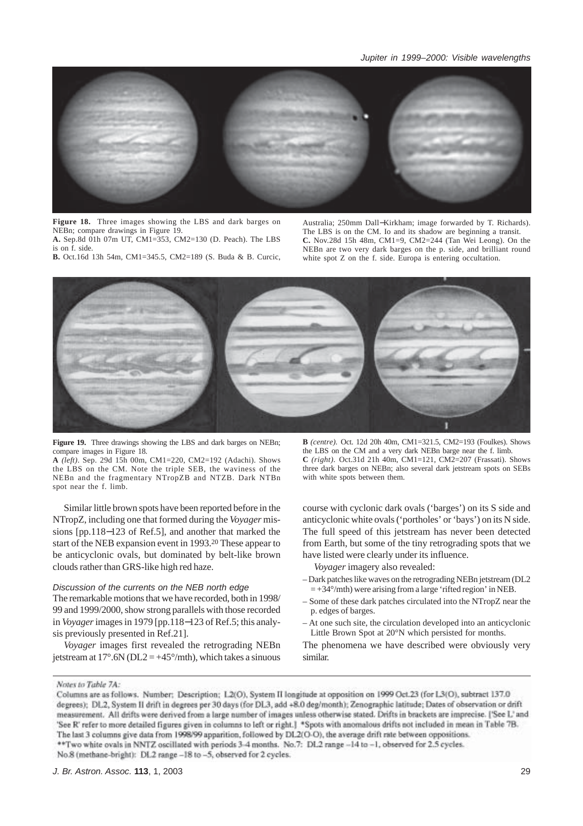

**Figure 18.** Three images showing the LBS and dark barges on NEBn; compare drawings in Figure 19. **A.** Sep.8d 01h 07m UT, CM1=353, CM2=130 (D. Peach). The LBS

is on f. side.

**B.** Oct.16d 13h 54m, CM1=345.5, CM2=189 (S. Buda & B. Curcic,

Australia; 250mm Dall−Kirkham; image forwarded by T. Richards). The LBS is on the CM. Io and its shadow are beginning a transit. **C.** Nov.28d 15h 48m, CM1=9, CM2=244 (Tan Wei Leong). On the NEBn are two very dark barges on the p. side, and brilliant round white spot Z on the f. side. Europa is entering occultation.



**Figure 19.** Three drawings showing the LBS and dark barges on NEBn; compare images in Figure 18.

**A** *(left)*. Sep. 29d 15h 00m, CM1=220, CM2=192 (Adachi). Shows the LBS on the CM. Note the triple SEB, the waviness of the NEBn and the fragmentary NTropZB and NTZB. Dark NTBn spot near the f. limb.

Similar little brown spots have been reported before in the NTropZ, including one that formed during the *Voyager* missions [pp.118−123 of Ref.5], and another that marked the start of the NEB expansion event in 1993.20 These appear to be anticyclonic ovals, but dominated by belt-like brown clouds rather than GRS-like high red haze.

# *Discussion of the currents on the NEB north edge*

The remarkable motions that we have recorded, both in 1998/ 99 and 1999/2000, show strong parallels with those recorded in *Voyager* images in 1979 [pp.118−123 of Ref.5; this analysis previously presented in Ref.21].

*Voyager* images first revealed the retrograding NEBn jetstream at  $17^{\circ}$ .6N (DL2 = +45°/mth), which takes a sinuous

**B** *(centre).* Oct. 12d 20h 40m, CM1=321.5, CM2=193 (Foulkes). Shows the LBS on the CM and a very dark NEBn barge near the f. limb. **C** *(right).* Oct.31d 21h 40m, CM1=121, CM2=207 (Frassati). Shows three dark barges on NEBn; also several dark jetstream spots on SEBs with white spots between them.

course with cyclonic dark ovals ('barges') on its S side and anticyclonic white ovals ('portholes' or 'bays') on its N side. The full speed of this jetstream has never been detected from Earth, but some of the tiny retrograding spots that we have listed were clearly under its influence.

*Voyager* imagery also revealed:

- Dark patches like waves on the retrograding NEBn jetstream (DL2  $= +34^{\circ}/$ mth) were arising from a large 'rifted region' in NEB.
- Some of these dark patches circulated into the NTropZ near the p. edges of barges.
- At one such site, the circulation developed into an anticyclonic Little Brown Spot at 20°N which persisted for months.

The phenomena we have described were obviously very similar.

Notes to Table 7A:

Columns are as follows. Number: Description: L2(O). System II longitude at opposition on 1999 Oct.23 (for L3(O), subtract 137.0 degrees); DL2, System II drift in degrees per 30 days (for DL3, add +8.0 deg/month); Zenographic latitude; Dates of observation or drift measurement. All drifts were derived from a large number of images unless otherwise stated. Drifts in brackets are imprecise. ['See L' and 'See R' refer to more detailed figures given in columns to left or right.] \*Spots with anomalous drifts not included in mean in Table 7B. The last 3 columns give data from 1998/99 apparition, followed by DL2(O-O), the average drift rate between oppositions. \*\* Two white ovals in NNTZ oscillated with periods 3-4 months. No.7: DL2 range -14 to -1, observed for 2.5 cycles.

No.8 (methane-bright): DL2 range -18 to -5, observed for 2 cycles.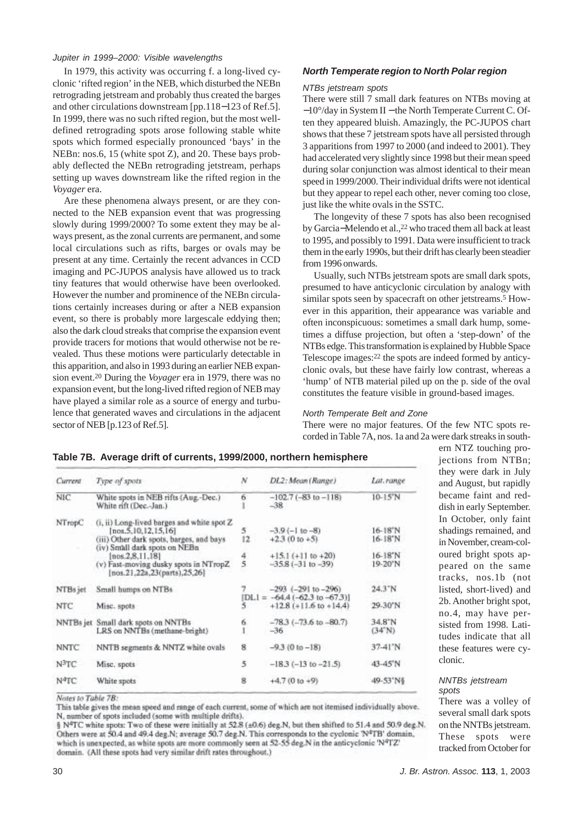In 1979, this activity was occurring f. a long-lived cyclonic 'rifted region' in the NEB, which disturbed the NEBn retrograding jetstream and probably thus created the barges and other circulations downstream [pp.118−123 of Ref.5]. In 1999, there was no such rifted region, but the most welldefined retrograding spots arose following stable white spots which formed especially pronounced 'bays' in the NEBn: nos.6, 15 (white spot Z), and 20. These bays probably deflected the NEBn retrograding jetstream, perhaps setting up waves downstream like the rifted region in the *Voyager* era.

Are these phenomena always present, or are they connected to the NEB expansion event that was progressing slowly during 1999/2000? To some extent they may be always present, as the zonal currents are permanent, and some local circulations such as rifts, barges or ovals may be present at any time. Certainly the recent advances in CCD imaging and PC-JUPOS analysis have allowed us to track tiny features that would otherwise have been overlooked. However the number and prominence of the NEBn circulations certainly increases during or after a NEB expansion event, so there is probably more largescale eddying then; also the dark cloud streaks that comprise the expansion event provide tracers for motions that would otherwise not be revealed. Thus these motions were particularly detectable in this apparition, and also in 1993 during an earlier NEB expansion event.20 During the *Voyager* era in 1979, there was no expansion event, but the long-lived rifted region of NEB may have played a similar role as a source of energy and turbulence that generated waves and circulations in the adjacent sector of NEB [p.123 of Ref.5].

# *North Temperate region to North Polar region*

## *NTBs jetstream spots*

There were still 7 small dark features on NTBs moving at −10°/day in System II − the North Temperate Current C. Often they appeared bluish. Amazingly, the PC-JUPOS chart shows that these 7 jetstream spots have all persisted through 3 apparitions from 1997 to 2000 (and indeed to 2001). They had accelerated very slightly since 1998 but their mean speed during solar conjunction was almost identical to their mean speed in 1999/2000. Their individual drifts were not identical but they appear to repel each other, never coming too close, just like the white ovals in the SSTC.

The longevity of these 7 spots has also been recognised by Garcia−Melendo et al.,22 who traced them all back at least to 1995, and possibly to 1991. Data were insufficient to track them in the early 1990s, but their drift has clearly been steadier from 1996 onwards.

Usually, such NTBs jetstream spots are small dark spots, presumed to have anticyclonic circulation by analogy with similar spots seen by spacecraft on other jetstreams.<sup>5</sup> However in this apparition, their appearance was variable and often inconspicuous: sometimes a small dark hump, sometimes a diffuse projection, but often a 'step-down' of the NTBs edge. This transformation is explained by Hubble Space Telescope images:22 the spots are indeed formed by anticyclonic ovals, but these have fairly low contrast, whereas a 'hump' of NTB material piled up on the p. side of the oval constitutes the feature visible in ground-based images.

# *North Temperate Belt and Zone*

There were no major features. Of the few NTC spots recorded in Table 7A, nos. 1a and 2a were dark streaks in south-

| Current           | Type of spots                                                                                                                                       | N             | DL2: Mean (Range)                                                          | Lat.range                       |
|-------------------|-----------------------------------------------------------------------------------------------------------------------------------------------------|---------------|----------------------------------------------------------------------------|---------------------------------|
| <b>NIC</b>        | White spots in NEB rifts (Aug.-Dec.)<br>White rift (Dec.-Jan.)                                                                                      | 6             | $-102.7(-83 to -118)$<br>$-38$                                             | $10-15^{\circ}N$                |
| NTropC            | (i, ii) Long-lived barges and white spot Z<br>[nos. 5, 10, 12, 15, 16]<br>(iii) Other dark spots, barges, and bays<br>(iv) Small dark spots on NEBn | 5<br>12       | $-3.9(-110-8)$<br>$+2.3(0 to +5)$                                          | 16-18 <sup>"N</sup><br>16-18°N  |
|                   | [nos.2.8.11.18]<br>(v) Fast-moving dusky spots in NTropZ<br>[nos.21,22a,23(parts),25,26]                                                            | $\frac{4}{5}$ | $+15.1 (+11 to +20)$<br>$-35.8(-31 to -39)$                                | 16-18 <sup>*</sup> N<br>19-20'N |
| NTBs jet          | Small humps on NTBs                                                                                                                                 |               | $-293$ $(-291$ to $-296)$                                                  | 24.3"N                          |
| <b>NTC</b>        | Misc. spots                                                                                                                                         |               | $[DL] = -64.4(-62.3 \text{ to } -67.3)]$<br>$+12.8$ ( $+11.6$ to $+14.4$ ) | 29-30°N                         |
|                   | NNTBs jet Small dark spots on NNTBs<br>LRS on NNTBs (methane-bright)                                                                                | 6             | $-78.3$ ( $-73.6$ to $-80.7$ )<br>$-36$                                    | 34.8°N<br>$(34^{\circ}N)$       |
| <b>NNTC</b>       | NNTB segments & NNTZ white ovals                                                                                                                    | 8             | $-9.3(0 to -18)$                                                           | 37-41'N                         |
| $N^3TC$           | Misc. spots                                                                                                                                         | 5             | $-18.3(-13 to -21.5)$                                                      | 43-45'N                         |
| N <sup>4</sup> TC | White spots                                                                                                                                         | ģ             | $+4.7(0 to +9)$                                                            | 49-53'N'§                       |
|                   |                                                                                                                                                     |               |                                                                            |                                 |

# **Table 7B. Average drift of currents, 1999/2000, northern hemisphere**

ern NTZ touching projections from NTBn; they were dark in July and August, but rapidly became faint and reddish in early September. In October, only faint shadings remained, and in November, cream-coloured bright spots appeared on the same tracks, nos.1b (not listed, short-lived) and 2b. Another bright spot, no.4, may have persisted from 1998. Latitudes indicate that all these features were cyclonic.

#### *NNTBs jetstream spots*

There was a volley of several small dark spots on the NNTBs jetstream. These spots were tracked from October for

Notes to Table 7B: This table gives the mean speed and range of each current, some of which are not itemised individually above. N, number of spots included (some with multiple drifts).

§ N<sup>4</sup>TC white spots: Two of these were initially at 52.8 (±0.6) deg.N, but then shifted to 51.4 and 50.9 deg.N. Others were at 50.4 and 49.4 deg.N; average 50.7 deg.N. This corresponds to the cyclonic 'N<sup>4</sup>TB' domain, which is unexpected, as white spots are more commonly seen at 52-55 deg.N in the anticyclonic 'N<sup>4</sup>TZ' domain. (All these spots had very similar drift rates throughout.)